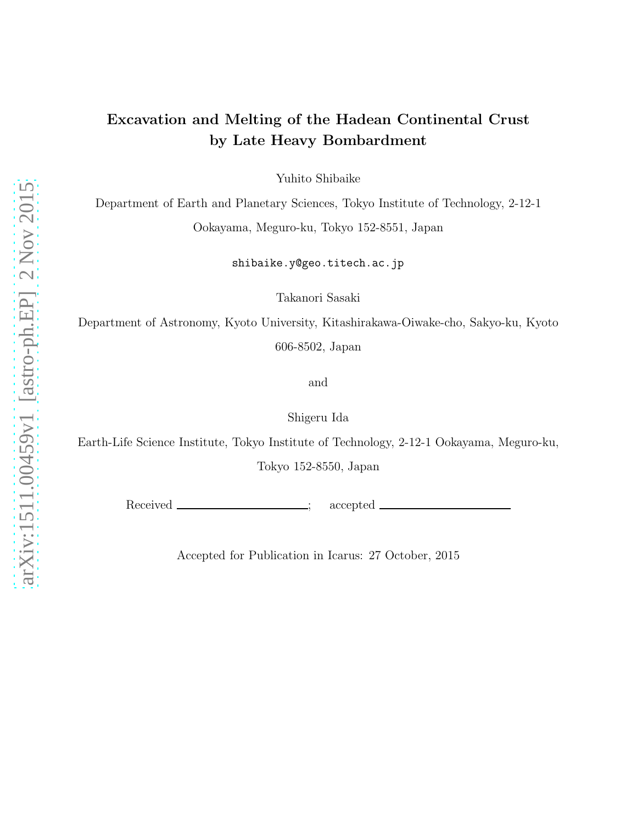# Excavation and Melting of the Hadean Continental Crust by Late Heavy Bombardment

Yuhito Shibaike

Department of Earth and Planetary Sciences, Tokyo Institute of Technology, 2-12-1 Ookayama, Meguro-ku, Tokyo 152-8551, Japan

shibaike.y@geo.titech.ac.jp

Takanori Sasaki

Department of Astronomy, Kyoto University, Kitashirakawa-Oiwake-cho, Sakyo-ku, Kyoto 606-8502, Japan

and

Shigeru Ida

Earth-Life Science Institute, Tokyo Institute of Technology, 2-12-1 Ookayama, Meguro-ku, Tokyo 152-8550, Japan

Received <u>\_\_\_\_\_\_\_\_\_\_\_\_\_\_\_\_\_\_;</u> accepted

Accepted for Publication in Icarus: 27 October, 2015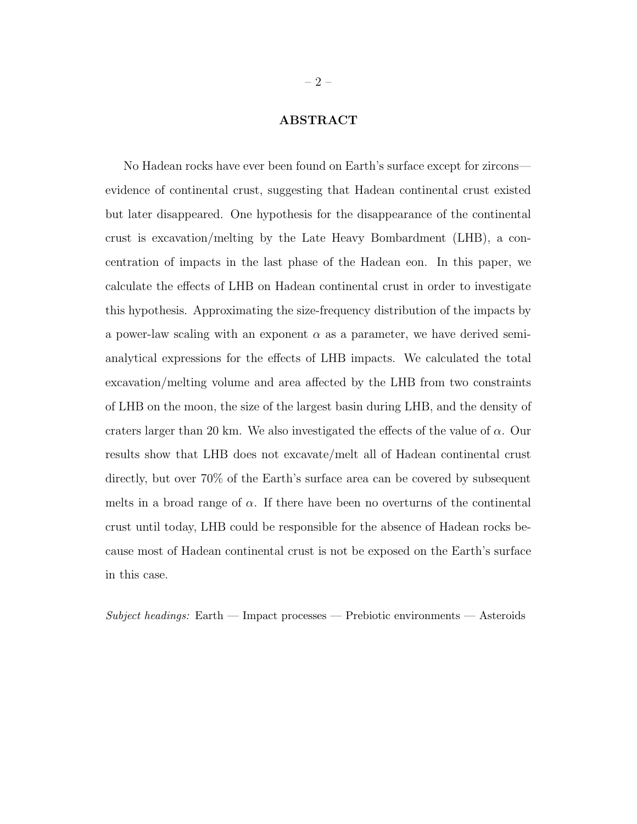# ABSTRACT

No Hadean rocks have ever been found on Earth's surface except for zircons evidence of continental crust, suggesting that Hadean continental crust existed but later disappeared. One hypothesis for the disappearance of the continental crust is excavation/melting by the Late Heavy Bombardment (LHB), a concentration of impacts in the last phase of the Hadean eon. In this paper, we calculate the effects of LHB on Hadean continental crust in order to investigate this hypothesis. Approximating the size-frequency distribution of the impacts by a power-law scaling with an exponent  $\alpha$  as a parameter, we have derived semianalytical expressions for the effects of LHB impacts. We calculated the total excavation/melting volume and area affected by the LHB from two constraints of LHB on the moon, the size of the largest basin during LHB, and the density of craters larger than 20 km. We also investigated the effects of the value of  $\alpha$ . Our results show that LHB does not excavate/melt all of Hadean continental crust directly, but over 70% of the Earth's surface area can be covered by subsequent melts in a broad range of  $\alpha$ . If there have been no overturns of the continental crust until today, LHB could be responsible for the absence of Hadean rocks because most of Hadean continental crust is not be exposed on the Earth's surface in this case.

 $Subject\ headings: Earth$  — Impact processes — Prebiotic environments — Asteroids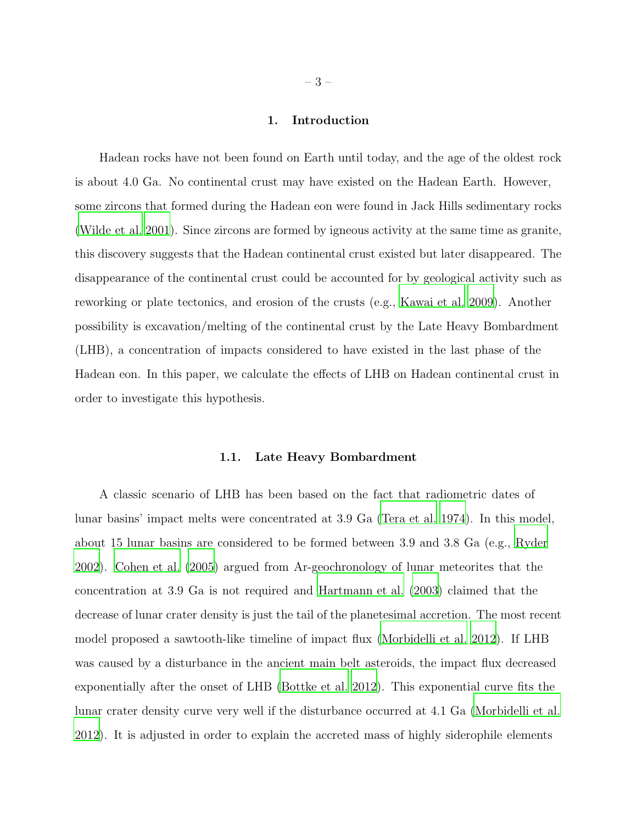## 1. Introduction

Hadean rocks have not been found on Earth until today, and the age of the oldest rock is about 4.0 Ga. No continental crust may have existed on the Hadean Earth. However, some zircons that formed during the Hadean eon were found in Jack Hills sedimentary rocks [\(Wilde et al. 2001](#page-39-0)). Since zircons are formed by igneous activity at the same time as granite, this discovery suggests that the Hadean continental crust existed but later disappeared. The disappearance of the continental crust could be accounted for by geological activity such as reworking or plate tectonics, and erosion of the crusts (e.g., [Kawai et al. 2009](#page-37-0)). Another possibility is excavation/melting of the continental crust by the Late Heavy Bombardment (LHB), a concentration of impacts considered to have existed in the last phase of the Hadean eon. In this paper, we calculate the effects of LHB on Hadean continental crust in order to investigate this hypothesis.

#### 1.1. Late Heavy Bombardment

A classic scenario of LHB has been based on the fact that radiometric dates of lunar basins' impact melts were concentrated at 3.9 Ga [\(Tera et al. 1974](#page-39-1)). In this model, about 15 lunar basins are considered to be formed between 3.9 and 3.8 Ga (e.g., [Ryder](#page-39-2) [2002\)](#page-39-2). [Cohen et al. \(2005\)](#page-36-0) argued from Ar-geochronology of lunar meteorites that the concentration at 3.9 Ga is not required and [Hartmann et al. \(2003](#page-37-1)) claimed that the decrease of lunar crater density is just the tail of the planetesimal accretion. The most recent model proposed a sawtooth-like timeline of impact flux [\(Morbidelli et al. 2012\)](#page-38-0). If LHB was caused by a disturbance in the ancient main belt asteroids, the impact flux decreased exponentially after the onset of LHB [\(Bottke et al. 2012](#page-36-1)). This exponential curve fits the lunar crater density curve very well if the disturbance occurred at 4.1 Ga [\(Morbidelli et al.](#page-38-0) [2012\)](#page-38-0). It is adjusted in order to explain the accreted mass of highly siderophile elements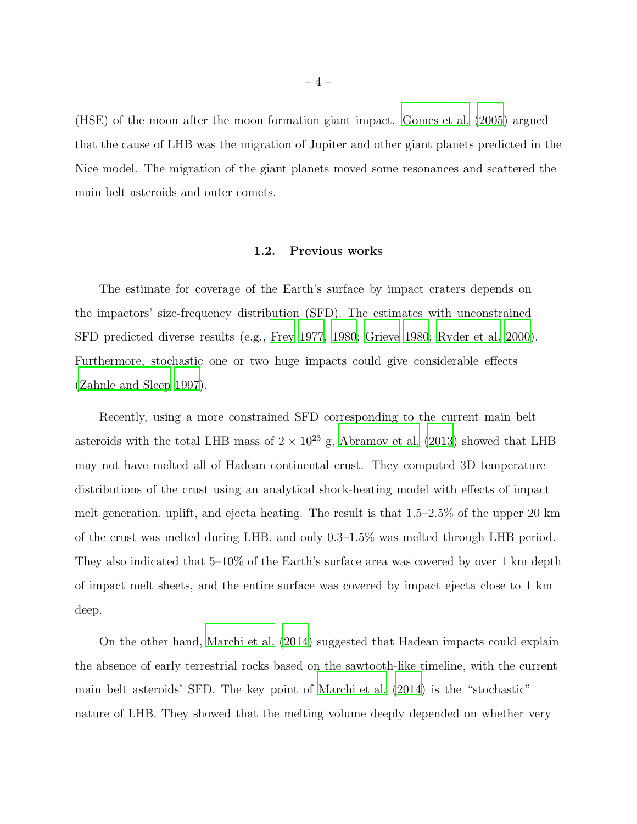(HSE) of the moon after the moon formation giant impact. [Gomes et](#page-37-2) al. [\(2005\)](#page-37-2) argued that the cause of LHB was the migration of Jupiter and other giant planets predicted in the Nice model. The migration of the giant planets moved some resonances and scattered the main belt asteroids and outer comets.

## 1.2. Previous works

The estimate for coverage of the Earth's surface by impact craters depends on the impactors' size-frequency distribution (SFD). The estimates with unconstrained SFD predicted diverse results (e.g., [Frey 1977,](#page-37-3) [1980;](#page-37-4) [Grieve 1980;](#page-37-5) [Ryder et al. 2000\)](#page-38-1). Furthermore, stochastic one or two huge impacts could give considerable effects [\(Zahnle and Sleep 1997\)](#page-39-3).

Recently, using a more constrained SFD corresponding to the current main belt asteroids with the total LHB mass of  $2 \times 10^{23}$  g, [Abramov et al. \(2013\)](#page-36-2) showed that LHB may not have melted all of Hadean continental crust. They computed 3D temperature distributions of the crust using an analytical shock-heating model with effects of impact melt generation, uplift, and ejecta heating. The result is that 1.5–2.5% of the upper 20 km of the crust was melted during LHB, and only 0.3–1.5% was melted through LHB period. They also indicated that 5–10% of the Earth's surface area was covered by over 1 km depth of impact melt sheets, and the entire surface was covered by impact ejecta close to 1 km deep.

On the other hand, [Marchi et al. \(2014](#page-38-2)) suggested that Hadean impacts could explain the absence of early terrestrial rocks based on the sawtooth-like timeline, with the current main belt asteroids' SFD. The key point of [Marchi et al. \(2014\)](#page-38-2) is the "stochastic" nature of LHB. They showed that the melting volume deeply depended on whether very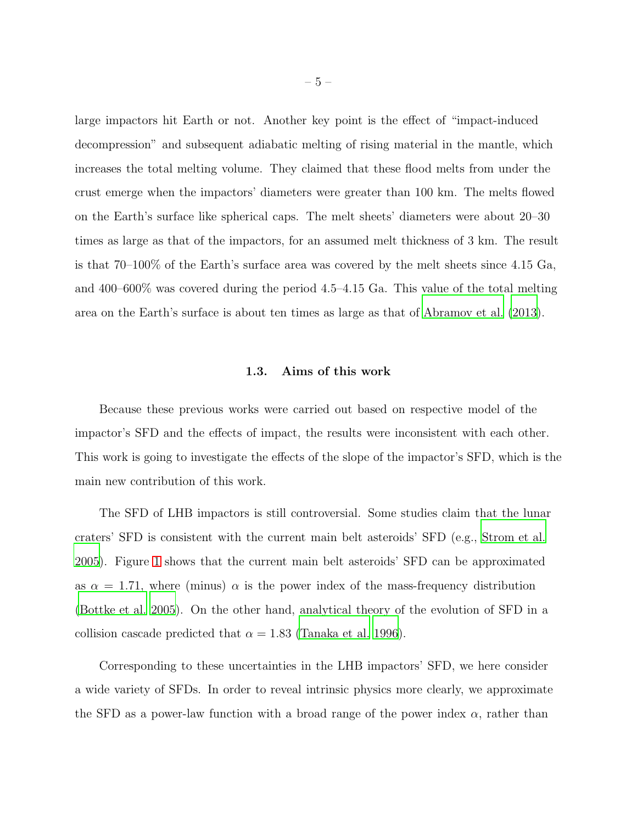large impactors hit Earth or not. Another key point is the effect of "impact-induced decompression" and subsequent adiabatic melting of rising material in the mantle, which increases the total melting volume. They claimed that these flood melts from under the crust emerge when the impactors' diameters were greater than 100 km. The melts flowed on the Earth's surface like spherical caps. The melt sheets' diameters were about 20–30 times as large as that of the impactors, for an assumed melt thickness of 3 km. The result is that 70–100% of the Earth's surface area was covered by the melt sheets since 4.15 Ga, and 400–600% was covered during the period 4.5–4.15 Ga. This value of the total melting area on the Earth's surface is about ten times as large as that of [Abramov et al. \(2013](#page-36-2)).

# 1.3. Aims of this work

Because these previous works were carried out based on respective model of the impactor's SFD and the effects of impact, the results were inconsistent with each other. This work is going to investigate the effects of the slope of the impactor's SFD, which is the main new contribution of this work.

The SFD of LHB impactors is still controversial. Some studies claim that the lunar craters' SFD is consistent with the current main belt asteroids' SFD (e.g., [Strom et al.](#page-39-4) [2005\)](#page-39-4). Figure [1](#page-6-0) shows that the current main belt asteroids' SFD can be approximated as  $\alpha = 1.71$ , where (minus)  $\alpha$  is the power index of the mass-frequency distribution [\(Bottke et al. 2005\)](#page-36-3). On the other hand, analytical theory of the evolution of SFD in a collision cascade predicted that  $\alpha = 1.83$  [\(Tanaka et al. 1996\)](#page-39-5).

Corresponding to these uncertainties in the LHB impactors' SFD, we here consider a wide variety of SFDs. In order to reveal intrinsic physics more clearly, we approximate the SFD as a power-law function with a broad range of the power index  $\alpha$ , rather than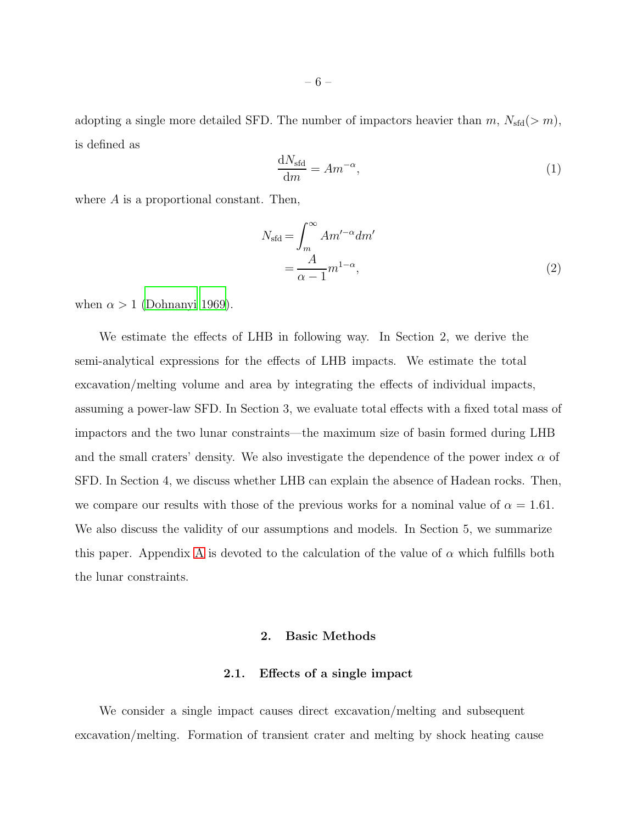adopting a single more detailed SFD. The number of impactors heavier than  $m$ ,  $N_{\text{std}}(>m)$ , is defined as

<span id="page-5-0"></span>
$$
\frac{\mathrm{d}N_{\text{std}}}{\mathrm{d}m} = Am^{-\alpha},\tag{1}
$$

where  $A$  is a proportional constant. Then,

<span id="page-5-2"></span>
$$
N_{\text{std}} = \int_{m}^{\infty} A m'^{-\alpha} dm'
$$
  
=  $\frac{A}{\alpha - 1} m^{1 - \alpha}$ , (2)

when  $\alpha > 1$  [\(Dohnanyi 1969\)](#page-36-4).

We estimate the effects of LHB in following way. In Section 2, we derive the semi-analytical expressions for the effects of LHB impacts. We estimate the total excavation/melting volume and area by integrating the effects of individual impacts, assuming a power-law SFD. In Section 3, we evaluate total effects with a fixed total mass of impactors and the two lunar constraints—the maximum size of basin formed during LHB and the small craters' density. We also investigate the dependence of the power index  $\alpha$  of SFD. In Section 4, we discuss whether LHB can explain the absence of Hadean rocks. Then, we compare our results with those of the previous works for a nominal value of  $\alpha = 1.61$ . We also discuss the validity of our assumptions and models. In Section 5, we summarize this paper. [A](#page-34-0)ppendix A is devoted to the calculation of the value of  $\alpha$  which fulfills both the lunar constraints.

# 2. Basic Methods

## 2.1. Effects of a single impact

<span id="page-5-1"></span>We consider a single impact causes direct excavation/melting and subsequent excavation/melting. Formation of transient crater and melting by shock heating cause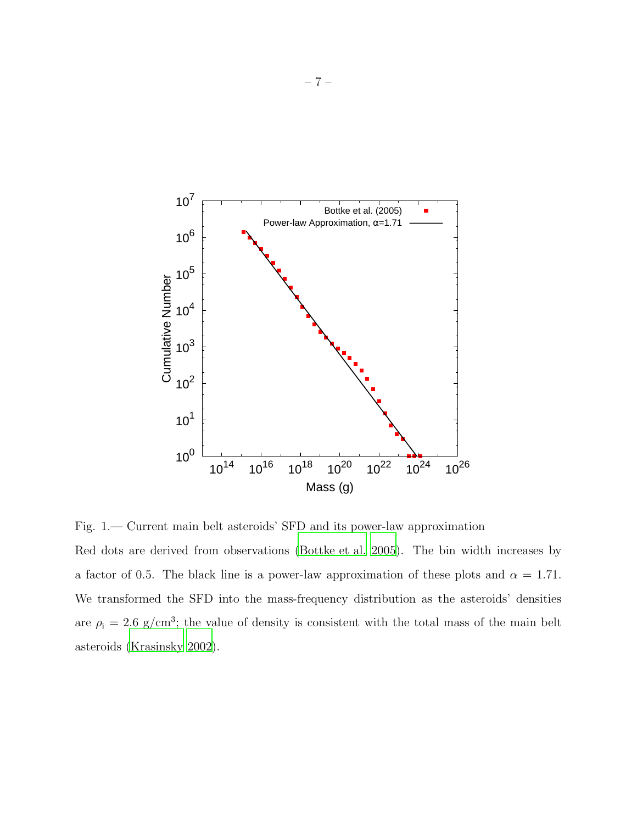

<span id="page-6-0"></span>Fig. 1.— Current main belt asteroids' SFD and its power-law approximation Red dots are derived from observations [\(Bottke et al. 2005\)](#page-36-3). The bin width increases by a factor of 0.5. The black line is a power-law approximation of these plots and  $\alpha = 1.71$ . We transformed the SFD into the mass-frequency distribution as the asteroids' densities are  $\rho_i = 2.6$  g/cm<sup>3</sup>; the value of density is consistent with the total mass of the main belt asteroids [\(Krasinsky 2002\)](#page-37-6).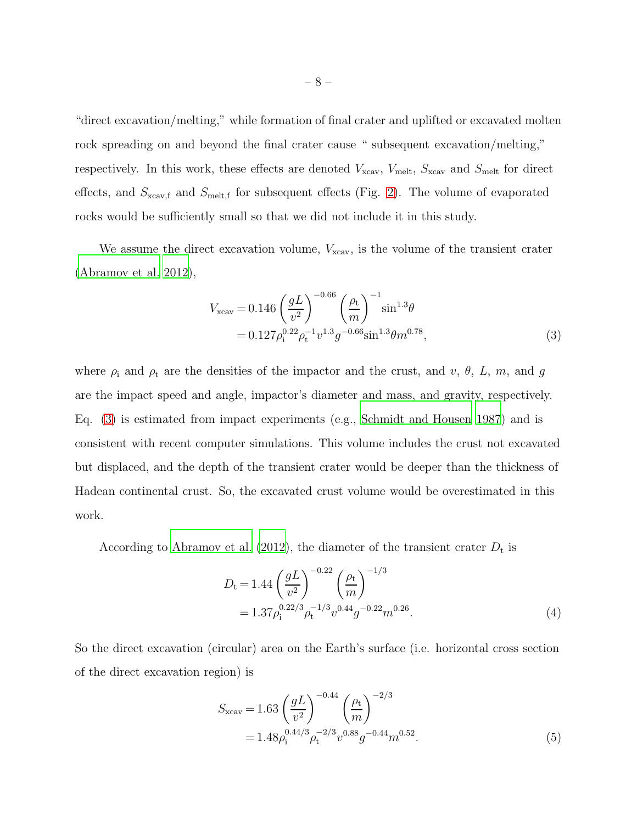"direct excavation/melting," while formation of final crater and uplifted or excavated molten rock spreading on and beyond the final crater cause " subsequent excavation/melting," respectively. In this work, these effects are denoted  $V_{\text{xcav}}$ ,  $V_{\text{melt}}$ ,  $S_{\text{xcav}}$  and  $S_{\text{melt}}$  for direct effects, and  $S_{\text{cav},f}$  and  $S_{\text{melt},f}$  for subsequent effects (Fig. [2\)](#page-10-0). The volume of evaporated rocks would be sufficiently small so that we did not include it in this study.

We assume the direct excavation volume,  $V_{\text{ccav}}$ , is the volume of the transient crater [\(Abramov et al. 2012\)](#page-36-5),

<span id="page-7-0"></span>
$$
V_{\text{xcav}} = 0.146 \left(\frac{gL}{v^2}\right)^{-0.66} \left(\frac{\rho_t}{m}\right)^{-1} \sin^{1.3}\theta
$$
  
= 0.127 $\rho_i^{0.22}\rho_t^{-1}v^{1.3}g^{-0.66}\sin^{1.3}\theta m^{0.78},$  (3)

where  $\rho_i$  and  $\rho_t$  are the densities of the impactor and the crust, and v,  $\theta$ , L, m, and g are the impact speed and angle, impactor's diameter and mass, and gravity, respectively. Eq. [\(3\)](#page-7-0) is estimated from impact experiments (e.g., [Schmidt and Housen 1987\)](#page-39-6) and is consistent with recent computer simulations. This volume includes the crust not excavated but displaced, and the depth of the transient crater would be deeper than the thickness of Hadean continental crust. So, the excavated crust volume would be overestimated in this work.

According to [Abramov et al. \(2012](#page-36-5)), the diameter of the transient crater  $D_t$  is

$$
D_{t} = 1.44 \left(\frac{gL}{v^{2}}\right)^{-0.22} \left(\frac{\rho_{t}}{m}\right)^{-1/3}
$$
  
= 1.37 \rho\_{i}^{0.22/3} \rho\_{t}^{-1/3} v^{0.44} g^{-0.22} m^{0.26}. (4)

So the direct excavation (circular) area on the Earth's surface (i.e. horizontal cross section of the direct excavation region) is

<span id="page-7-1"></span>
$$
S_{\text{xcav}} = 1.63 \left(\frac{gL}{v^2}\right)^{-0.44} \left(\frac{\rho_t}{m}\right)^{-2/3}
$$
  
= 1.48 \rho\_i^{0.44/3} \rho\_t^{-2/3} v\_0^{0.88} g^{-0.44} m^{0.52}. (5)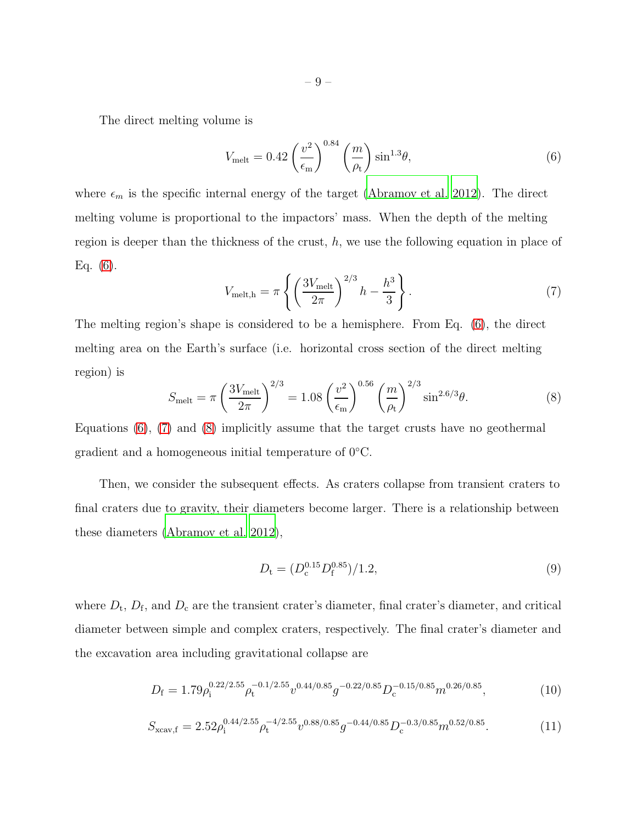The direct melting volume is

<span id="page-8-0"></span>
$$
V_{\text{melt}} = 0.42 \left(\frac{v^2}{\epsilon_{\text{m}}}\right)^{0.84} \left(\frac{m}{\rho_{\text{t}}}\right) \sin^{1.3}\theta,\tag{6}
$$

where  $\epsilon_m$  is the specific internal energy of the target [\(Abramov et al. 2012\)](#page-36-5). The direct melting volume is proportional to the impactors' mass. When the depth of the melting region is deeper than the thickness of the crust,  $h$ , we use the following equation in place of Eq.  $(6)$ .

<span id="page-8-1"></span>
$$
V_{\text{melt,h}} = \pi \left\{ \left( \frac{3V_{\text{melt}}}{2\pi} \right)^{2/3} h - \frac{h^3}{3} \right\}.
$$
 (7)

The melting region's shape is considered to be a hemisphere. From Eq. [\(6\)](#page-8-0), the direct melting area on the Earth's surface (i.e. horizontal cross section of the direct melting region) is

<span id="page-8-2"></span>
$$
S_{\text{melt}} = \pi \left(\frac{3V_{\text{melt}}}{2\pi}\right)^{2/3} = 1.08 \left(\frac{v^2}{\epsilon_{\text{m}}}\right)^{0.56} \left(\frac{m}{\rho_t}\right)^{2/3} \sin^{2.6/3}\theta. \tag{8}
$$

Equations [\(6\)](#page-8-0), [\(7\)](#page-8-1) and [\(8\)](#page-8-2) implicitly assume that the target crusts have no geothermal gradient and a homogeneous initial temperature of 0◦C.

Then, we consider the subsequent effects. As craters collapse from transient craters to final craters due to gravity, their diameters become larger. There is a relationship between these diameters [\(Abramov et al. 2012](#page-36-5)),

$$
D_{t} = (D_{c}^{0.15} D_{f}^{0.85})/1.2,
$$
\n(9)

where  $D_t$ ,  $D_f$ , and  $D_c$  are the transient crater's diameter, final crater's diameter, and critical diameter between simple and complex craters, respectively. The final crater's diameter and the excavation area including gravitational collapse are

<span id="page-8-4"></span>
$$
D_{\rm f} = 1.79 \rho_{\rm i}^{0.22/2.55} \rho_{\rm t}^{-0.1/2.55} v^{0.44/0.85} g^{-0.22/0.85} D_{\rm c}^{-0.15/0.85} m^{0.26/0.85},\tag{10}
$$

<span id="page-8-3"></span>
$$
S_{\text{xcav,f}} = 2.52 \rho_{\text{i}}^{0.44/2.55} \rho_{\text{t}}^{-4/2.55} v^{0.88/0.85} g^{-0.44/0.85} D_{\text{c}}^{-0.3/0.85} m^{0.52/0.85}.
$$
 (11)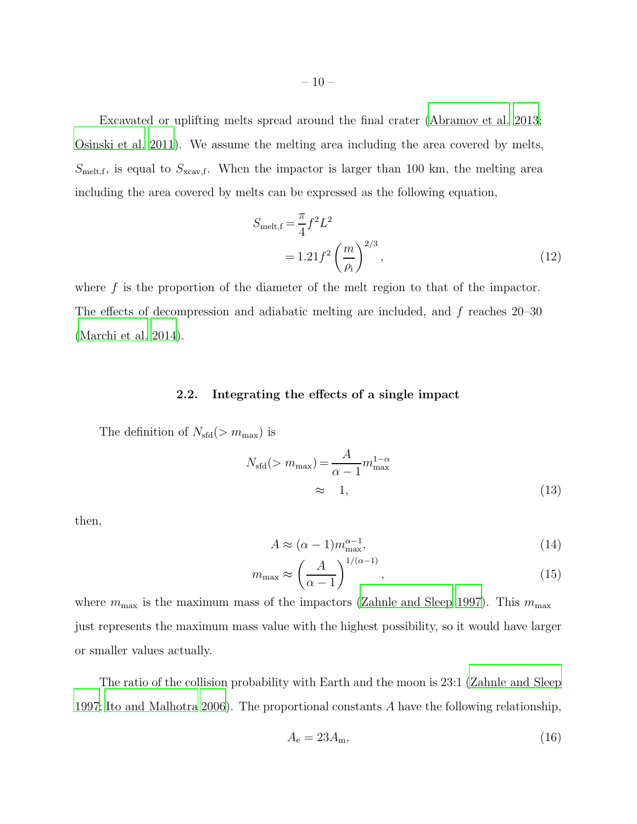Excavated or uplifting melts spread around the final crater [\(Abramov et al. 2013](#page-36-2); [Osinski et al. 2011\)](#page-38-3). We assume the melting area including the area covered by melts,  $S_{\text{melt,f}}$ , is equal to  $S_{\text{xcav,f}}$ . When the impactor is larger than 100 km, the melting area including the area covered by melts can be expressed as the following equation,

<span id="page-9-0"></span>
$$
S_{\text{melt,f}} = \frac{\pi}{4} f^2 L^2
$$
  
= 1.21  $f^2 \left(\frac{m}{\rho_i}\right)^{2/3}$ , (12)

where f is the proportion of the diameter of the melt region to that of the impactor. The effects of decompression and adiabatic melting are included, and f reaches 20–30 [\(Marchi et al. 2014\)](#page-38-2).

# 2.2. Integrating the effects of a single impact

The definition of  $N_{\text{sd}}(> m_{\text{max}})$  is

$$
N_{\text{sfd}}(>m_{\text{max}}) = \frac{A}{\alpha - 1} m_{\text{max}}^{1 - \alpha}
$$
  
  $\approx 1,$  (13)

then,

<span id="page-9-1"></span>
$$
A \approx (\alpha - 1)m_{\text{max}}^{\alpha - 1},\tag{14}
$$

<span id="page-9-2"></span>
$$
m_{\text{max}} \approx \left(\frac{A}{\alpha - 1}\right)^{1/(\alpha - 1)},\tag{15}
$$

where  $m_{\text{max}}$  is the maximum mass of the impactors [\(Zahnle and Sleep 1997\)](#page-39-3). This  $m_{\text{max}}$ just represents the maximum mass value with the highest possibility, so it would have larger or smaller values actually.

The ratio of the collision probability with Earth and the moon is 23:1 [\(Zahnle and Sleep](#page-39-3) [1997;](#page-39-3) [Ito and Malhotra 2006\)](#page-37-7). The proportional constants A have the following relationship,

$$
A_{\rm e} = 23A_{\rm m},\tag{16}
$$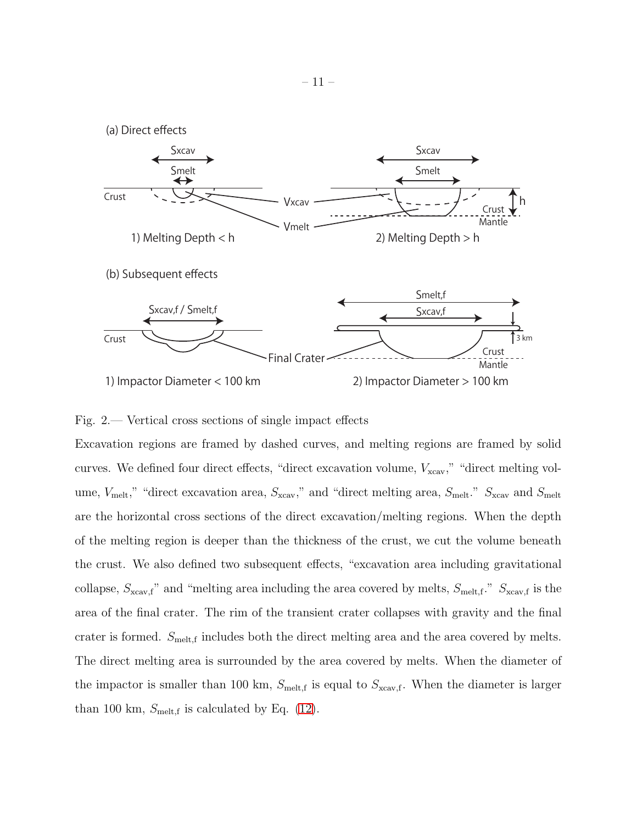

## <span id="page-10-0"></span>Fig. 2.— Vertical cross sections of single impact effects

Excavation regions are framed by dashed curves, and melting regions are framed by solid curves. We defined four direct effects, "direct excavation volume,  $V_{\text{xcav}}$ ," "direct melting volume,  $V_{\text{melt}}$ ," "direct excavation area,  $S_{\text{xcav}}$ ," and "direct melting area,  $S_{\text{melt}}$ ."  $S_{\text{xcav}}$  and  $S_{\text{melt}}$ are the horizontal cross sections of the direct excavation/melting regions. When the depth of the melting region is deeper than the thickness of the crust, we cut the volume beneath the crust. We also defined two subsequent effects, "excavation area including gravitational collapse,  $S_{\text{xcav},f}$ " and "melting area including the area covered by melts,  $S_{\text{melt},f}$ ."  $S_{\text{xcav},f}$  is the area of the final crater. The rim of the transient crater collapses with gravity and the final crater is formed.  $S_{\text{melt,f}}$  includes both the direct melting area and the area covered by melts. The direct melting area is surrounded by the area covered by melts. When the diameter of the impactor is smaller than 100 km,  $S_{\text{melt,f}}$  is equal to  $S_{\text{xcav,f}}$ . When the diameter is larger than 100 km,  $S_{\text{melt,f}}$  is calculated by Eq. [\(12\)](#page-9-0).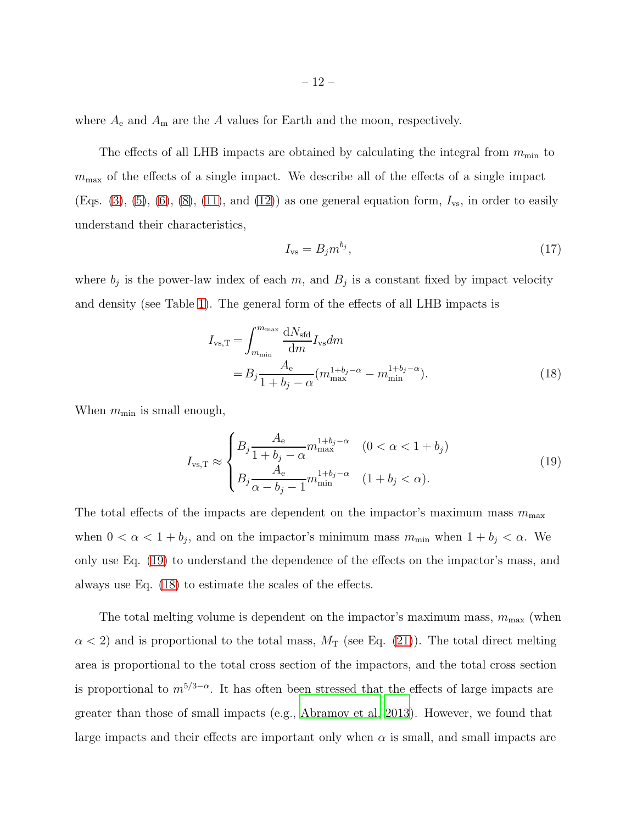where  $A_e$  and  $A_m$  are the A values for Earth and the moon, respectively.

The effects of all LHB impacts are obtained by calculating the integral from  $m_{\text{min}}$  to  $m<sub>max</sub>$  of the effects of a single impact. We describe all of the effects of a single impact (Eqs. [\(3\)](#page-7-0), [\(5\)](#page-7-1), [\(6\)](#page-8-0), [\(8\)](#page-8-2), [\(11\)](#page-8-3), and [\(12\)](#page-9-0)) as one general equation form,  $I_{\text{vs}}$ , in order to easily understand their characteristics,

$$
I_{\rm vs} = B_j m^{b_j},\tag{17}
$$

where  $b_j$  is the power-law index of each m, and  $B_j$  is a constant fixed by impact velocity and density (see Table [1\)](#page-12-0). The general form of the effects of all LHB impacts is

<span id="page-11-1"></span>
$$
I_{\text{vs,T}} = \int_{m_{\text{min}}}^{m_{\text{max}}} \frac{dN_{\text{std}}}{dm} I_{\text{vs}} dm
$$
  
= 
$$
B_j \frac{A_e}{1 + b_j - \alpha} (m_{\text{max}}^{1 + b_j - \alpha} - m_{\text{min}}^{1 + b_j - \alpha}).
$$
 (18)

When  $m_{\text{min}}$  is small enough,

<span id="page-11-0"></span>
$$
I_{\text{vs,T}} \approx \begin{cases} B_j \frac{A_e}{1 + b_j - \alpha} m_{\text{max}}^{1 + b_j - \alpha} & (0 < \alpha < 1 + b_j) \\ B_j \frac{A_e}{\alpha - b_j - 1} m_{\text{min}}^{1 + b_j - \alpha} & (1 + b_j < \alpha). \end{cases}
$$
(19)

The total effects of the impacts are dependent on the impactor's maximum mass  $m_{\text{max}}$ when  $0 < \alpha < 1 + b_j$ , and on the impactor's minimum mass  $m_{\min}$  when  $1 + b_j < \alpha$ . We only use Eq. [\(19\)](#page-11-0) to understand the dependence of the effects on the impactor's mass, and always use Eq. [\(18\)](#page-11-1) to estimate the scales of the effects.

The total melting volume is dependent on the impactor's maximum mass,  $m_{\text{max}}$  (when  $\alpha$  < 2) and is proportional to the total mass,  $M_T$  (see Eq. [\(21\)](#page-13-0)). The total direct melting area is proportional to the total cross section of the impactors, and the total cross section is proportional to  $m^{5/3-\alpha}$ . It has often been stressed that the effects of large impacts are greater than those of small impacts (e.g., [Abramov et al. 2013\)](#page-36-2). However, we found that large impacts and their effects are important only when  $\alpha$  is small, and small impacts are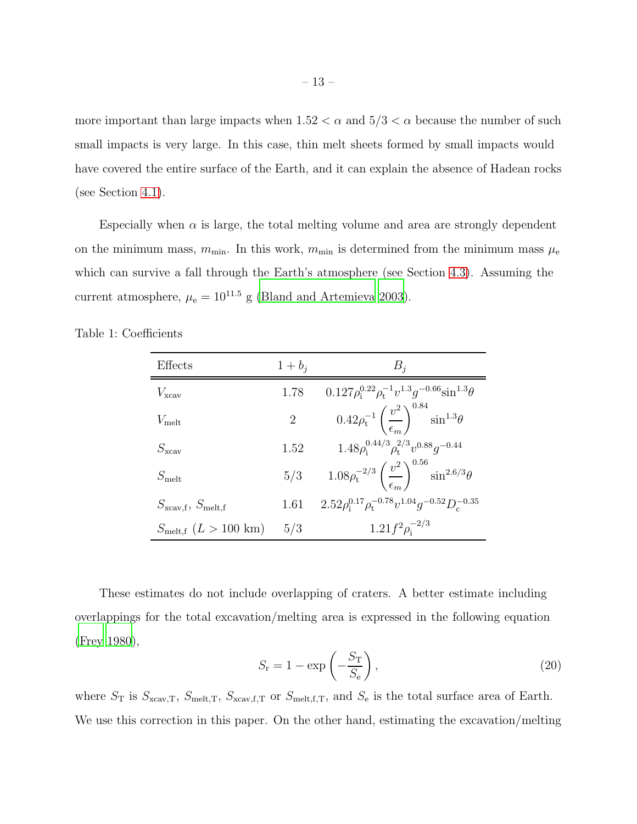more important than large impacts when  $1.52 < \alpha$  and  $5/3 < \alpha$  because the number of such small impacts is very large. In this case, thin melt sheets formed by small impacts would have covered the entire surface of the Earth, and it can explain the absence of Hadean rocks (see Section [4.1\)](#page-26-0).

Especially when  $\alpha$  is large, the total melting volume and area are strongly dependent on the minimum mass,  $m_{\text{min}}$ . In this work,  $m_{\text{min}}$  is determined from the minimum mass  $\mu_{\text{e}}$ which can survive a fall through the Earth's atmosphere (see Section [4.3\)](#page-28-0). Assuming the current atmosphere,  $\mu_e = 10^{11.5}$  g [\(Bland and Artemieva 2003\)](#page-36-6).

<span id="page-12-0"></span>

| Effects                                | $1+b_i$        | $B_i$                                                                                 |
|----------------------------------------|----------------|---------------------------------------------------------------------------------------|
| $V_{\text{xcav}}$                      | 1.78           | $0.127 \rho_i^{0.22} \rho_t^{-1} v^{1.3} g^{-0.66} \sin^{1.3} \theta$                 |
| $V_{\text{melt}}$                      | $\overline{2}$ | $0.42\rho_{\rm t}^{-1}\left(\frac{v^2}{\epsilon_m}\right)^{0.84}\sin^{1.3}\!\theta$   |
| $S_{\rm xcav}$                         | 1.52           | $1.48\rho^{0.44/3}_{\rm i}\rho^{2/3}_{\rm t}v^{0.88}q^{-0.44}$                        |
| $S_{\rm melt}$                         | 5/3            | $1.08\rho_{\rm t}^{-2/3}\left(\frac{v^2}{\epsilon_m}\right)^{0.50}\sin^{2.6/3}\theta$ |
| $S_{\text{xcav,f}}, S_{\text{melt,f}}$ | 1.61           | $2.52 \rho_i^{0.17} \rho_f^{-0.78} v^{1.04} g^{-0.52} D_c^{-0.35}$                    |
| $S_{\text{melt,f}}(L>100 \text{ km})$  | 5/3            | $1.21 f^2 \rho_i^{-2/3}$                                                              |

Table 1: Coefficients

These estimates do not include overlapping of craters. A better estimate including overlappings for the total excavation/melting area is expressed in the following equation [\(Frey 1980\)](#page-37-4),

<span id="page-12-1"></span>
$$
S_{\rm r} = 1 - \exp\left(-\frac{S_{\rm T}}{S_{\rm e}}\right),\tag{20}
$$

where  $S_T$  is  $S_{\text{xcav},T}$ ,  $S_{\text{melt},T}$ ,  $S_{\text{xcav},f,T}$  or  $S_{\text{melt},f,T}$ , and  $S_e$  is the total surface area of Earth. We use this correction in this paper. On the other hand, estimating the excavation/melting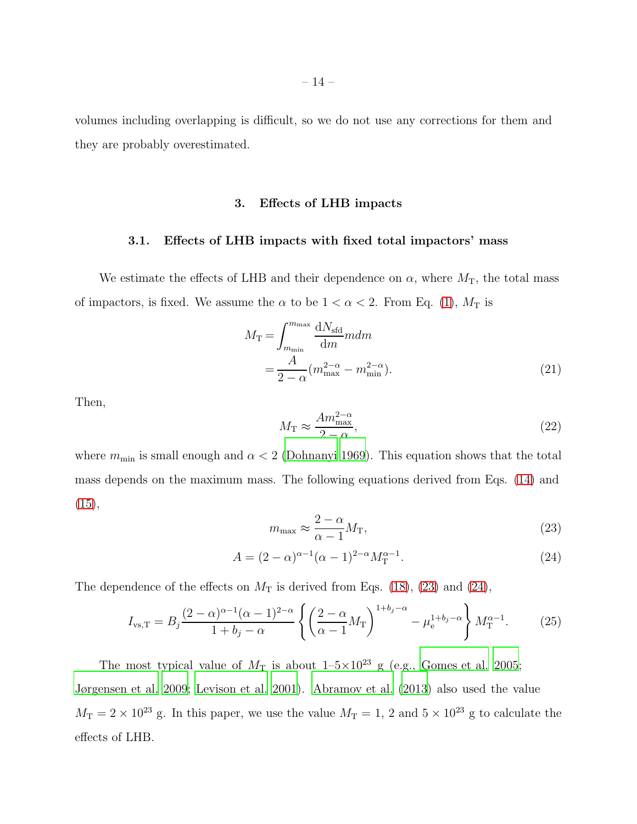volumes including overlapping is difficult, so we do not use any corrections for them and they are probably overestimated.

#### 3. Effects of LHB impacts

### 3.1. Effects of LHB impacts with fixed total impactors' mass

We estimate the effects of LHB and their dependence on  $\alpha$ , where  $M_T$ , the total mass of impactors, is fixed. We assume the  $\alpha$  to be  $1 < \alpha < 2$ . From Eq. [\(1\)](#page-5-0),  $M_T$  is

<span id="page-13-0"></span>
$$
M_{\rm T} = \int_{m_{\rm min}}^{m_{\rm max}} \frac{dN_{\rm std}}{dm} m dm
$$
  
= 
$$
\frac{A}{2 - \alpha} (m_{\rm max}^{2 - \alpha} - m_{\rm min}^{2 - \alpha}).
$$
 (21)

Then,

$$
M_{\rm T} \approx \frac{A m_{\rm max}^{2-\alpha}}{2-\alpha},\tag{22}
$$

where  $m_{\text{min}}$  is small enough and  $\alpha < 2$  [\(Dohnanyi 1969](#page-36-4)). This equation shows that the total mass depends on the maximum mass. The following equations derived from Eqs. [\(14\)](#page-9-1) and  $(15),$  $(15),$ 

<span id="page-13-1"></span>
$$
m_{\text{max}} \approx \frac{2 - \alpha}{\alpha - 1} M_{\text{T}},\tag{23}
$$

<span id="page-13-2"></span>
$$
A = (2 - \alpha)^{\alpha - 1} (\alpha - 1)^{2 - \alpha} M_{\mathcal{T}}^{\alpha - 1}.
$$
 (24)

The dependence of the effects on  $M_T$  is derived from Eqs. [\(18\)](#page-11-1), [\(23\)](#page-13-1) and [\(24\)](#page-13-2),

<span id="page-13-3"></span>
$$
I_{\text{vs,T}} = B_j \frac{(2-\alpha)^{\alpha-1} (\alpha-1)^{2-\alpha}}{1+b_j-\alpha} \left\{ \left( \frac{2-\alpha}{\alpha-1} M_{\text{T}} \right)^{1+b_j-\alpha} - \mu_{\text{e}}^{1+b_j-\alpha} \right\} M_{\text{T}}^{\alpha-1}.
$$
 (25)

The most typical value of  $M_T$  is about  $1-5\times10^{23}$  g (e.g., [Gomes et al. 2005;](#page-37-2) [Jørgensen et al. 2009](#page-37-8); [Levison et al. 2001](#page-38-4)). [Abramov et al. \(2013\)](#page-36-2) also used the value  $M_T = 2 \times 10^{23}$  g. In this paper, we use the value  $M_T = 1$ , 2 and  $5 \times 10^{23}$  g to calculate the effects of LHB.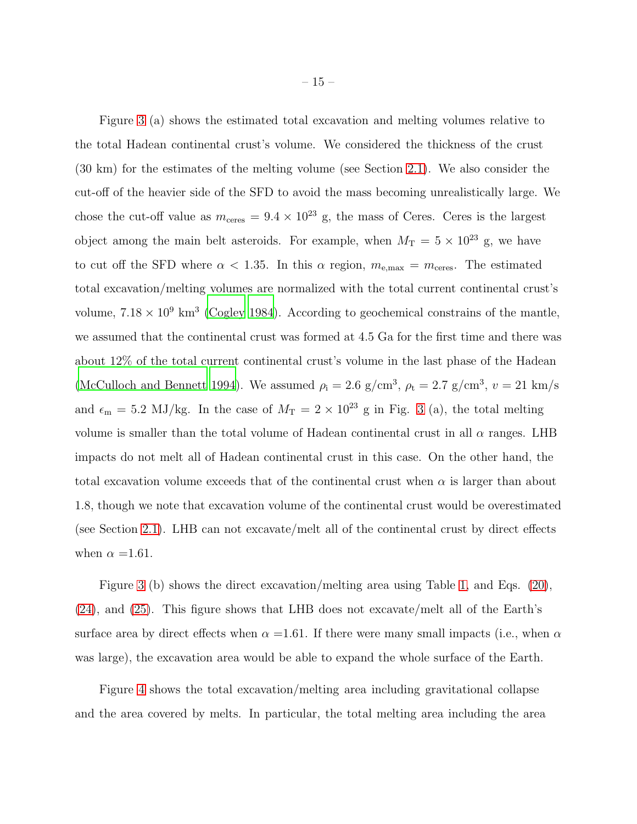Figure [3](#page-16-0) (a) shows the estimated total excavation and melting volumes relative to the total Hadean continental crust's volume. We considered the thickness of the crust (30 km) for the estimates of the melting volume (see Section [2.1\)](#page-5-1). We also consider the cut-off of the heavier side of the SFD to avoid the mass becoming unrealistically large. We chose the cut-off value as  $m_{\text{ceres}} = 9.4 \times 10^{23}$  g, the mass of Ceres. Ceres is the largest object among the main belt asteroids. For example, when  $M_T = 5 \times 10^{23}$  g, we have to cut off the SFD where  $\alpha < 1.35$ . In this  $\alpha$  region,  $m_{\text{e,max}} = m_{\text{ceres}}$ . The estimated total excavation/melting volumes are normalized with the total current continental crust's volume,  $7.18 \times 10^9$  km<sup>3</sup> [\(Cogley 1984\)](#page-36-7). According to geochemical constrains of the mantle, we assumed that the continental crust was formed at 4.5 Ga for the first time and there was about 12% of the total current continental crust's volume in the last phase of the Hadean [\(McCulloch and Bennett 1994](#page-38-5)). We assumed  $\rho_i = 2.6 \text{ g/cm}^3$ ,  $\rho_t = 2.7 \text{ g/cm}^3$ ,  $v = 21 \text{ km/s}$ and  $\epsilon_{\rm m} = 5.2$  MJ/kg. In the case of  $M_T = 2 \times 10^{23}$  g in Fig. [3](#page-16-0) (a), the total melting volume is smaller than the total volume of Hadean continental crust in all  $\alpha$  ranges. LHB impacts do not melt all of Hadean continental crust in this case. On the other hand, the total excavation volume exceeds that of the continental crust when  $\alpha$  is larger than about 1.8, though we note that excavation volume of the continental crust would be overestimated (see Section [2.1\)](#page-5-1). LHB can not excavate/melt all of the continental crust by direct effects when  $\alpha = 1.61$ .

Figure [3](#page-16-0) (b) shows the direct excavation/melting area using Table [1,](#page-12-0) and Eqs. [\(20\)](#page-12-1), [\(24\)](#page-13-2), and [\(25\)](#page-13-3). This figure shows that LHB does not excavate/melt all of the Earth's surface area by direct effects when  $\alpha = 1.61$ . If there were many small impacts (i.e., when  $\alpha$ was large), the excavation area would be able to expand the whole surface of the Earth.

Figure [4](#page-17-0) shows the total excavation/melting area including gravitational collapse and the area covered by melts. In particular, the total melting area including the area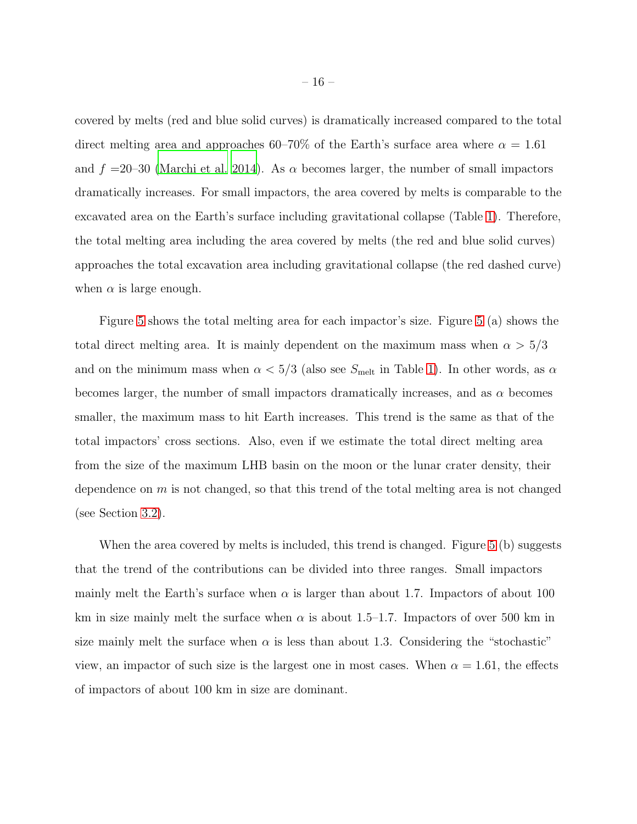covered by melts (red and blue solid curves) is dramatically increased compared to the total direct melting area and approaches 60–70% of the Earth's surface area where  $\alpha = 1.61$ and  $f = 20-30$  [\(Marchi et al. 2014\)](#page-38-2). As  $\alpha$  becomes larger, the number of small impactors dramatically increases. For small impactors, the area covered by melts is comparable to the excavated area on the Earth's surface including gravitational collapse (Table [1\)](#page-12-0). Therefore, the total melting area including the area covered by melts (the red and blue solid curves) approaches the total excavation area including gravitational collapse (the red dashed curve) when  $\alpha$  is large enough.

Figure [5](#page-18-0) shows the total melting area for each impactor's size. Figure [5](#page-18-0) (a) shows the total direct melting area. It is mainly dependent on the maximum mass when  $\alpha > 5/3$ and on the minimum mass when  $\alpha < 5/3$  (also see  $S_{\text{melt}}$  in Table [1\)](#page-12-0). In other words, as  $\alpha$ becomes larger, the number of small impactors dramatically increases, and as  $\alpha$  becomes smaller, the maximum mass to hit Earth increases. This trend is the same as that of the total impactors' cross sections. Also, even if we estimate the total direct melting area from the size of the maximum LHB basin on the moon or the lunar crater density, their dependence on  $m$  is not changed, so that this trend of the total melting area is not changed (see Section [3.2\)](#page-19-0).

When the area covered by melts is included, this trend is changed. Figure [5](#page-18-0) (b) suggests that the trend of the contributions can be divided into three ranges. Small impactors mainly melt the Earth's surface when  $\alpha$  is larger than about 1.7. Impactors of about 100 km in size mainly melt the surface when  $\alpha$  is about 1.5–1.7. Impactors of over 500 km in size mainly melt the surface when  $\alpha$  is less than about 1.3. Considering the "stochastic" view, an impactor of such size is the largest one in most cases. When  $\alpha = 1.61$ , the effects of impactors of about 100 km in size are dominant.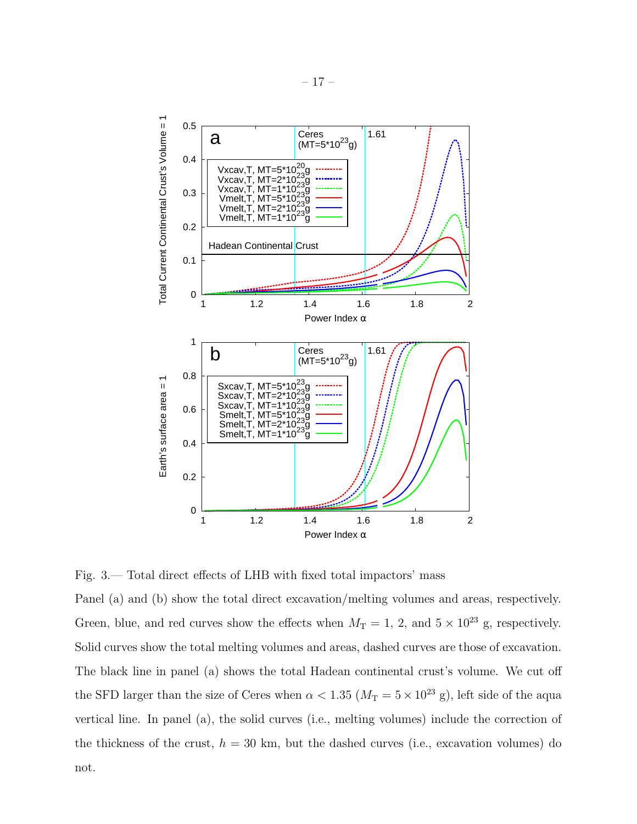

<span id="page-16-0"></span>Fig. 3.— Total direct effects of LHB with fixed total impactors' mass

Panel (a) and (b) show the total direct excavation/melting volumes and areas, respectively. Green, blue, and red curves show the effects when  $M_T = 1, 2$ , and  $5 \times 10^{23}$  g, respectively. Solid curves show the total melting volumes and areas, dashed curves are those of excavation. The black line in panel (a) shows the total Hadean continental crust's volume. We cut off the SFD larger than the size of Ceres when  $\alpha < 1.35$  ( $M_T = 5 \times 10^{23}$  g), left side of the aqua vertical line. In panel (a), the solid curves (i.e., melting volumes) include the correction of the thickness of the crust,  $h = 30 \text{ km}$ , but the dashed curves (i.e., excavation volumes) do not.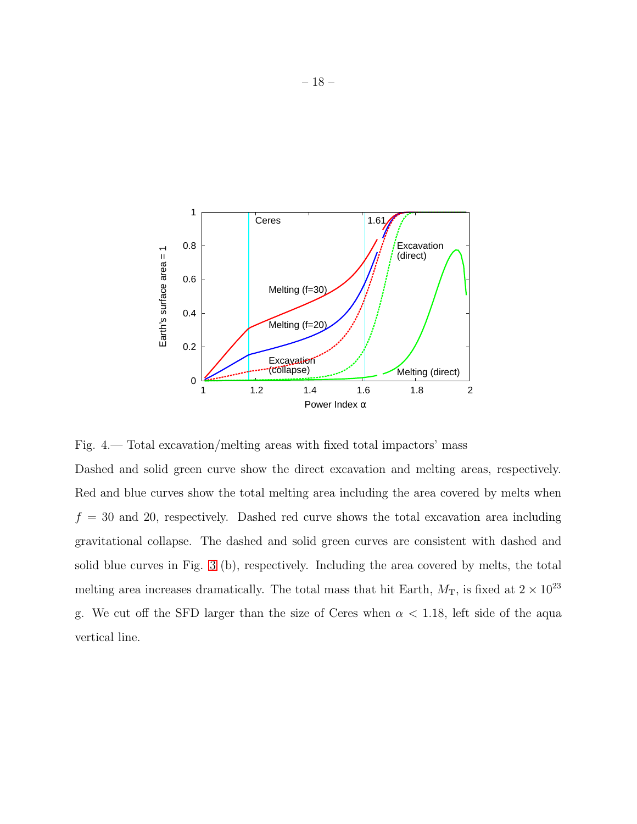

<span id="page-17-0"></span>Fig. 4.— Total excavation/melting areas with fixed total impactors' mass

Dashed and solid green curve show the direct excavation and melting areas, respectively. Red and blue curves show the total melting area including the area covered by melts when  $f = 30$  and 20, respectively. Dashed red curve shows the total excavation area including gravitational collapse. The dashed and solid green curves are consistent with dashed and solid blue curves in Fig. [3](#page-16-0) (b), respectively. Including the area covered by melts, the total melting area increases dramatically. The total mass that hit Earth,  $M_T$ , is fixed at  $2 \times 10^{23}$ g. We cut off the SFD larger than the size of Ceres when  $\alpha < 1.18$ , left side of the aqua vertical line.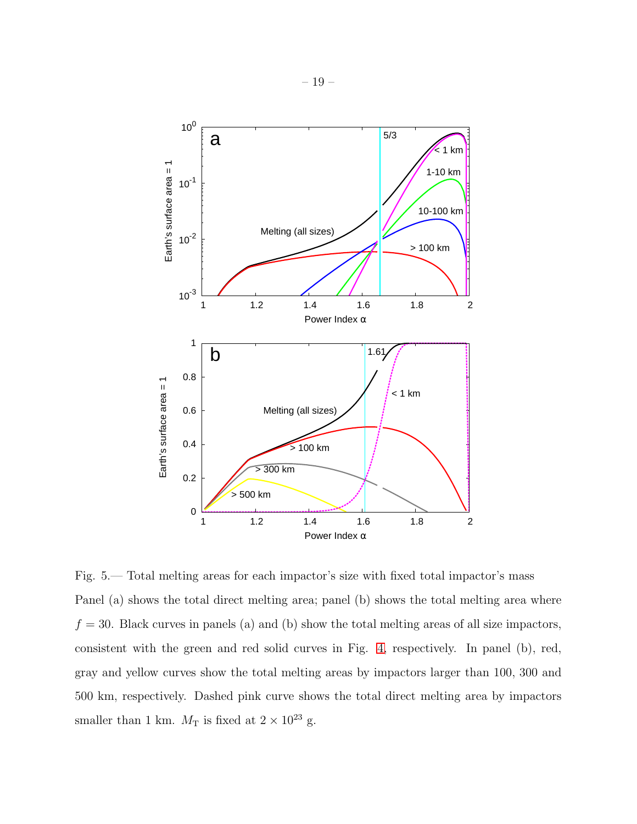

<span id="page-18-0"></span>Fig. 5.— Total melting areas for each impactor's size with fixed total impactor's mass Panel (a) shows the total direct melting area; panel (b) shows the total melting area where  $f = 30$ . Black curves in panels (a) and (b) show the total melting areas of all size impactors, consistent with the green and red solid curves in Fig. [4,](#page-17-0) respectively. In panel (b), red, gray and yellow curves show the total melting areas by impactors larger than 100, 300 and 500 km, respectively. Dashed pink curve shows the total direct melting area by impactors smaller than 1 km.  $M_T$  is fixed at  $2 \times 10^{23}$  g.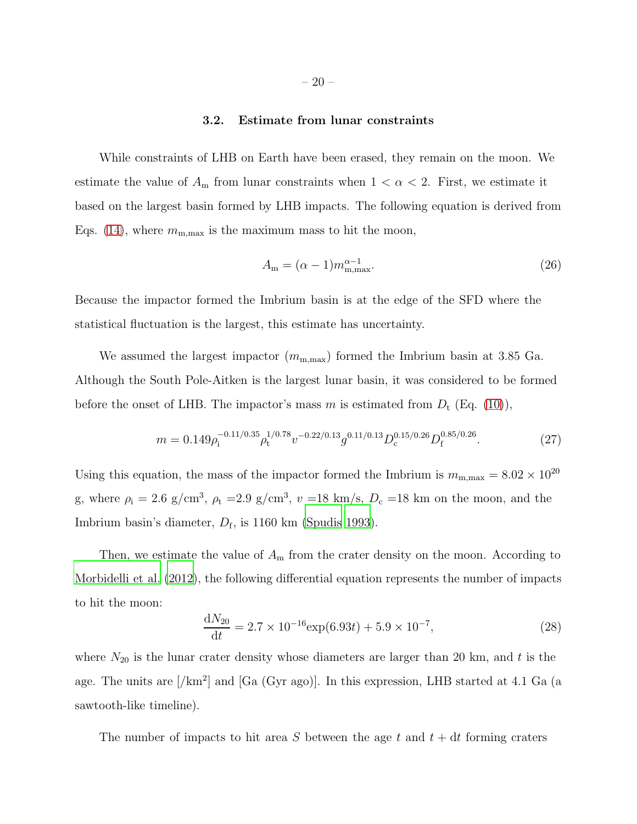#### 3.2. Estimate from lunar constraints

<span id="page-19-0"></span>While constraints of LHB on Earth have been erased, they remain on the moon. We estimate the value of  $A_m$  from lunar constraints when  $1 < \alpha < 2$ . First, we estimate it based on the largest basin formed by LHB impacts. The following equation is derived from Eqs. [\(14\)](#page-9-1), where  $m_{\text{m,max}}$  is the maximum mass to hit the moon,

$$
A_{\mathbf{m}} = (\alpha - 1)m_{\mathbf{m}, \max}^{\alpha - 1}.
$$
\n(26)

Because the impactor formed the Imbrium basin is at the edge of the SFD where the statistical fluctuation is the largest, this estimate has uncertainty.

We assumed the largest impactor  $(m_{m,\text{max}})$  formed the Imbrium basin at 3.85 Ga. Although the South Pole-Aitken is the largest lunar basin, it was considered to be formed before the onset of LHB. The impactor's mass m is estimated from  $D_t$  (Eq. [\(10\)](#page-8-4)),

<span id="page-19-1"></span>
$$
m = 0.149 \rho_i^{-0.11/0.35} \rho_t^{1/0.78} v^{-0.22/0.13} g^{0.11/0.13} D_c^{0.15/0.26} D_f^{0.85/0.26}.
$$
 (27)

Using this equation, the mass of the impactor formed the Imbrium is  $m_{\text{m,max}} = 8.02 \times 10^{20}$ g, where  $\rho_i = 2.6$  g/cm<sup>3</sup>,  $\rho_t = 2.9$  g/cm<sup>3</sup>,  $v = 18$  km/s,  $D_c = 18$  km on the moon, and the Imbrium basin's diameter,  $D_f$ , is 1160 km [\(Spudis 1993\)](#page-39-7).

Then, we estimate the value of  $A<sub>m</sub>$  from the crater density on the moon. According to [Morbidelli et al. \(2012\)](#page-38-0), the following differential equation represents the number of impacts to hit the moon:

$$
\frac{dN_{20}}{dt} = 2.7 \times 10^{-16} \exp(6.93t) + 5.9 \times 10^{-7},\tag{28}
$$

where  $N_{20}$  is the lunar crater density whose diameters are larger than 20 km, and t is the age. The units are [/km<sup>2</sup>] and [Ga (Gyr ago)]. In this expression, LHB started at 4.1 Ga (a sawtooth-like timeline).

The number of impacts to hit area S between the age t and  $t + dt$  forming craters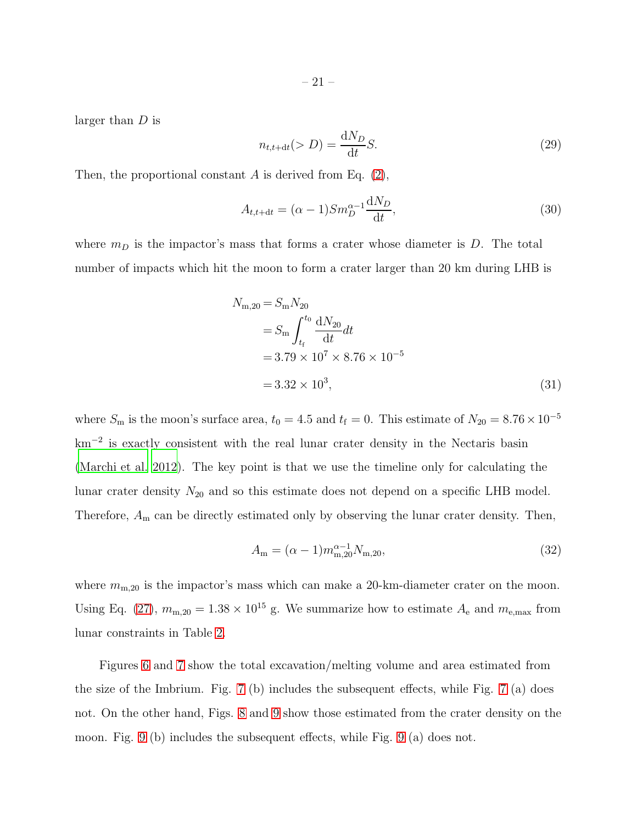larger than D is

$$
n_{t,t+dt}(>D) = \frac{dN_D}{dt}S.
$$
\n(29)

Then, the proportional constant A is derived from Eq. [\(2\)](#page-5-2),

$$
A_{t,t+dt} = (\alpha - 1)Sm_D^{\alpha - 1} \frac{\mathrm{d}N_D}{\mathrm{d}t},\tag{30}
$$

where  $m_D$  is the impactor's mass that forms a crater whose diameter is D. The total number of impacts which hit the moon to form a crater larger than 20 km during LHB is

$$
N_{\rm m,20} = S_{\rm m} N_{20}
$$
  
=  $S_{\rm m} \int_{t_{\rm f}}^{t_0} \frac{dN_{20}}{dt} dt$   
= 3.79 × 10<sup>7</sup> × 8.76 × 10<sup>-5</sup>  
= 3.32 × 10<sup>3</sup>, (31)

where  $S_m$  is the moon's surface area,  $t_0 = 4.5$  and  $t_f = 0$ . This estimate of  $N_{20} = 8.76 \times 10^{-5}$ km<sup>-2</sup> is exactly consistent with the real lunar crater density in the Nectaris basin [\(Marchi et al. 2012](#page-38-6)). The key point is that we use the timeline only for calculating the lunar crater density  $N_{20}$  and so this estimate does not depend on a specific LHB model. Therefore,  $A<sub>m</sub>$  can be directly estimated only by observing the lunar crater density. Then,

$$
A_{\rm m} = (\alpha - 1)m_{\rm m,20}^{\alpha - 1} N_{\rm m,20},\tag{32}
$$

where  $m_{\text{m},20}$  is the impactor's mass which can make a 20-km-diameter crater on the moon. Using Eq. [\(27\)](#page-19-1),  $m_{\text{m},20} = 1.38 \times 10^{15}$  g. We summarize how to estimate  $A_e$  and  $m_{e,\text{max}}$  from lunar constraints in Table [2.](#page-21-0)

Figures [6](#page-22-0) and [7](#page-23-0) show the total excavation/melting volume and area estimated from the size of the Imbrium. Fig. [7](#page-23-0) (b) includes the subsequent effects, while Fig. [7](#page-23-0) (a) does not. On the other hand, Figs. [8](#page-24-0) and [9](#page-25-0) show those estimated from the crater density on the moon. Fig. [9](#page-25-0) (b) includes the subsequent effects, while Fig. [9](#page-25-0) (a) does not.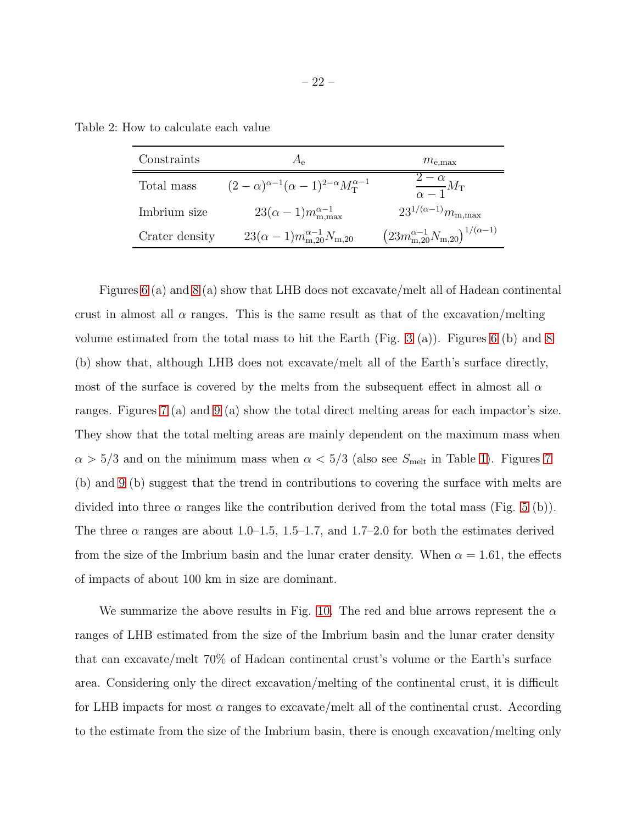Table 2: How to calculate each value

<span id="page-21-0"></span>

| Constraints    | $A_{\rho}$                                                       | $m_{\rm e, max}$                                                              |
|----------------|------------------------------------------------------------------|-------------------------------------------------------------------------------|
| Total mass     | $(2-\alpha)^{\alpha-1}(\alpha-1)^{2-\alpha}M_{\rm T}^{\alpha-1}$ | $\frac{2-\alpha}{\alpha-1}M_{\rm T}$                                          |
| Imbrium size   | $23(\alpha-1)m_{\text{m,max}}^{\alpha-1}$                        | $23^{1/(\alpha-1)}m_{\rm m,max}$                                              |
| Crater density | $23(\alpha-1)m_{\rm m,20}^{\alpha-1}N_{\rm m,20}$                | $\left(23m_{\mathrm{m},20}^{\alpha-1}N_{\mathrm{m},20}\right)^{1/(\alpha-1)}$ |

Figures [6](#page-22-0) (a) and [8](#page-24-0) (a) show that LHB does not excavate/melt all of Hadean continental crust in almost all  $\alpha$  ranges. This is the same result as that of the excavation/melting volume estimated from the total mass to hit the Earth (Fig. [3](#page-16-0) (a)). Figures [6](#page-22-0) (b) and [8](#page-24-0) (b) show that, although LHB does not excavate/melt all of the Earth's surface directly, most of the surface is covered by the melts from the subsequent effect in almost all  $\alpha$ ranges. Figures [7](#page-23-0) (a) and [9](#page-25-0) (a) show the total direct melting areas for each impactor's size. They show that the total melting areas are mainly dependent on the maximum mass when  $\alpha > 5/3$  and on the minimum mass when  $\alpha < 5/3$  (also see  $S_{\text{melt}}$  in Table [1\)](#page-12-0). Figures [7](#page-23-0) (b) and [9](#page-25-0) (b) suggest that the trend in contributions to covering the surface with melts are divided into three  $\alpha$  ranges like the contribution derived from the total mass (Fig. [5](#page-18-0) (b)). The three  $\alpha$  ranges are about 1.0–1.5, 1.5–1.7, and 1.7–2.0 for both the estimates derived from the size of the Imbrium basin and the lunar crater density. When  $\alpha = 1.61$ , the effects of impacts of about 100 km in size are dominant.

We summarize the above results in Fig. [10.](#page-27-0) The red and blue arrows represent the  $\alpha$ ranges of LHB estimated from the size of the Imbrium basin and the lunar crater density that can excavate/melt 70% of Hadean continental crust's volume or the Earth's surface area. Considering only the direct excavation/melting of the continental crust, it is difficult for LHB impacts for most  $\alpha$  ranges to excavate/melt all of the continental crust. According to the estimate from the size of the Imbrium basin, there is enough excavation/melting only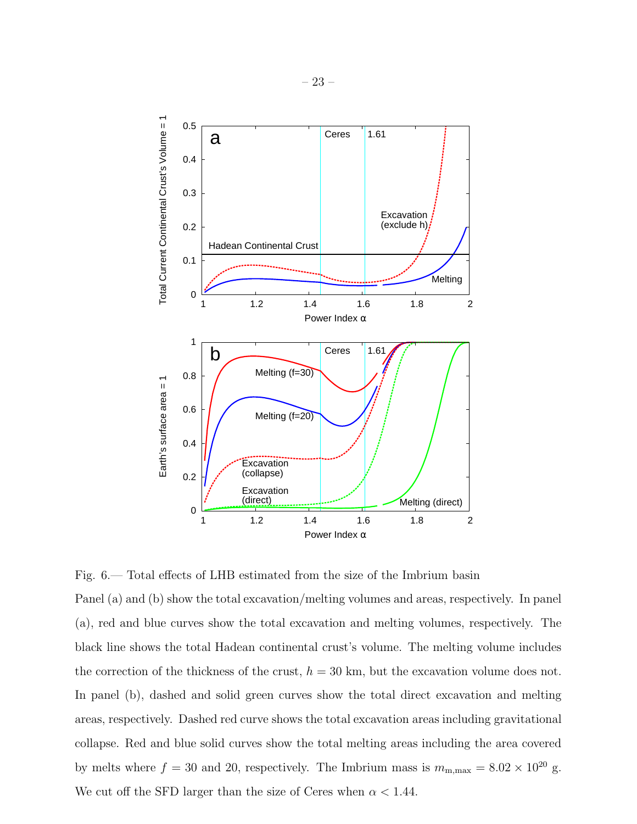

<span id="page-22-0"></span>Fig. 6.— Total effects of LHB estimated from the size of the Imbrium basin

Panel (a) and (b) show the total excavation/melting volumes and areas, respectively. In panel (a), red and blue curves show the total excavation and melting volumes, respectively. The black line shows the total Hadean continental crust's volume. The melting volume includes the correction of the thickness of the crust,  $h = 30$  km, but the excavation volume does not. In panel (b), dashed and solid green curves show the total direct excavation and melting areas, respectively. Dashed red curve shows the total excavation areas including gravitational collapse. Red and blue solid curves show the total melting areas including the area covered by melts where  $f = 30$  and 20, respectively. The Imbrium mass is  $m_{\rm m,max} = 8.02 \times 10^{20}$  g. We cut off the SFD larger than the size of Ceres when  $\alpha < 1.44$ .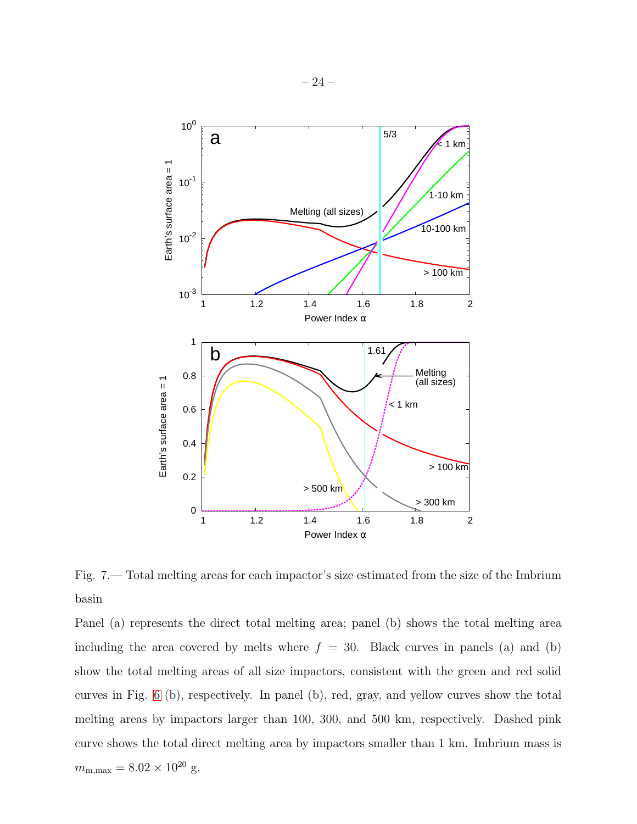

<span id="page-23-0"></span>Fig. 7.— Total melting areas for each impactor's size estimated from the size of the Imbrium basin

Panel (a) represents the direct total melting area; panel (b) shows the total melting area including the area covered by melts where  $f = 30$ . Black curves in panels (a) and (b) show the total melting areas of all size impactors, consistent with the green and red solid curves in Fig. [6](#page-22-0) (b), respectively. In panel (b), red, gray, and yellow curves show the total melting areas by impactors larger than 100, 300, and 500 km, respectively. Dashed pink curve shows the total direct melting area by impactors smaller than 1 km. Imbrium mass is  $m_{\rm m,max} = 8.02 \times 10^{20}$  g.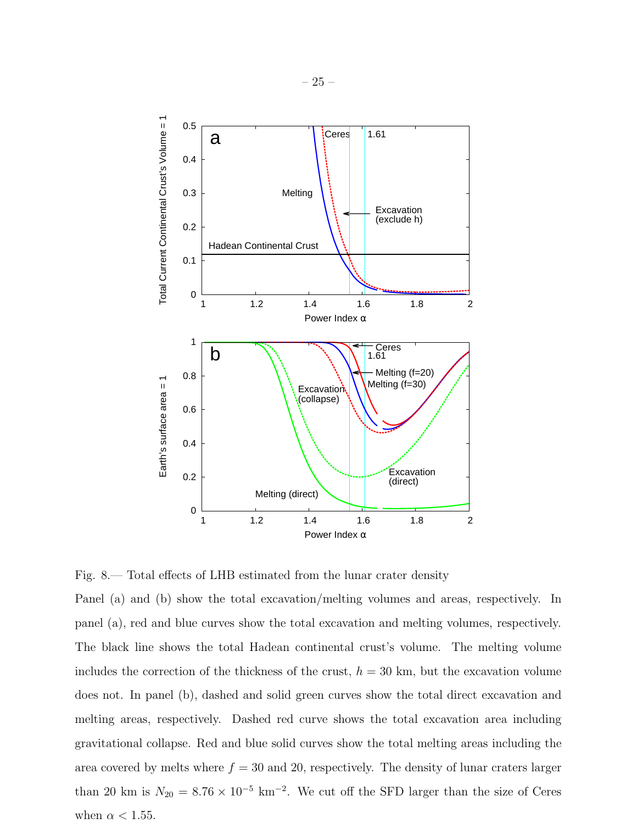

<span id="page-24-0"></span>Fig. 8.— Total effects of LHB estimated from the lunar crater density

Panel (a) and (b) show the total excavation/melting volumes and areas, respectively. In panel (a), red and blue curves show the total excavation and melting volumes, respectively. The black line shows the total Hadean continental crust's volume. The melting volume includes the correction of the thickness of the crust,  $h = 30$  km, but the excavation volume does not. In panel (b), dashed and solid green curves show the total direct excavation and melting areas, respectively. Dashed red curve shows the total excavation area including gravitational collapse. Red and blue solid curves show the total melting areas including the area covered by melts where  $f = 30$  and 20, respectively. The density of lunar craters larger than 20 km is  $N_{20} = 8.76 \times 10^{-5}$  km<sup>-2</sup>. We cut off the SFD larger than the size of Ceres when  $\alpha$  < 1.55.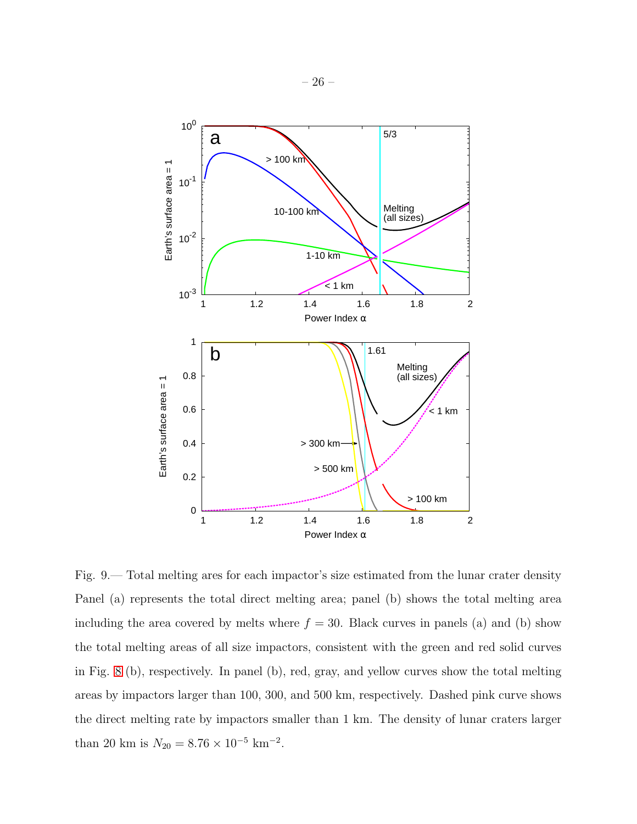

<span id="page-25-0"></span>Fig. 9.— Total melting ares for each impactor's size estimated from the lunar crater density Panel (a) represents the total direct melting area; panel (b) shows the total melting area including the area covered by melts where  $f = 30$ . Black curves in panels (a) and (b) show the total melting areas of all size impactors, consistent with the green and red solid curves in Fig. [8](#page-24-0) (b), respectively. In panel (b), red, gray, and yellow curves show the total melting areas by impactors larger than 100, 300, and 500 km, respectively. Dashed pink curve shows the direct melting rate by impactors smaller than 1 km. The density of lunar craters larger than 20 km is  $N_{20} = 8.76 \times 10^{-5}$  km<sup>-2</sup>.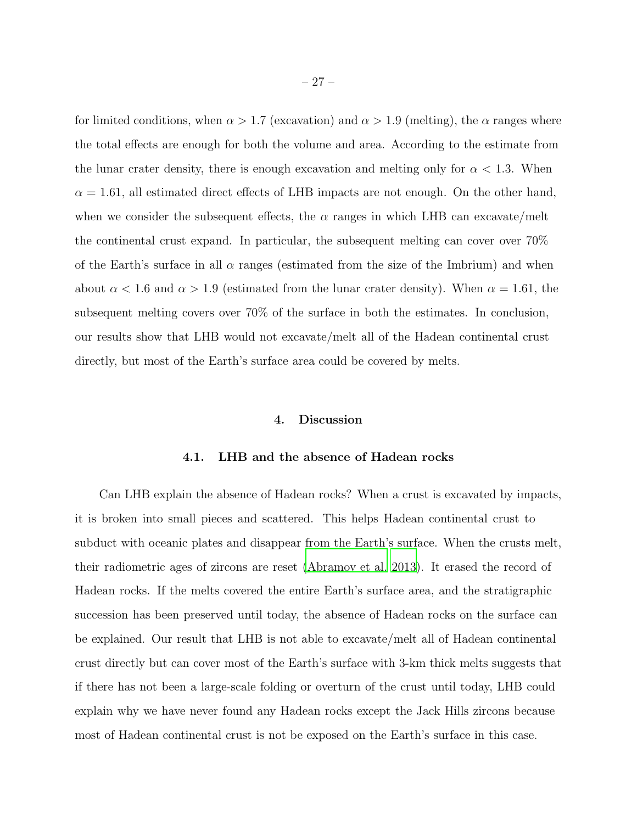for limited conditions, when  $\alpha > 1.7$  (excavation) and  $\alpha > 1.9$  (melting), the  $\alpha$  ranges where the total effects are enough for both the volume and area. According to the estimate from the lunar crater density, there is enough excavation and melting only for  $\alpha < 1.3$ . When  $\alpha = 1.61$ , all estimated direct effects of LHB impacts are not enough. On the other hand, when we consider the subsequent effects, the  $\alpha$  ranges in which LHB can excavate/melt the continental crust expand. In particular, the subsequent melting can cover  $70\%$ of the Earth's surface in all  $\alpha$  ranges (estimated from the size of the Imbrium) and when about  $\alpha$  < 1.6 and  $\alpha$  > 1.9 (estimated from the lunar crater density). When  $\alpha$  = 1.61, the subsequent melting covers over 70% of the surface in both the estimates. In conclusion, our results show that LHB would not excavate/melt all of the Hadean continental crust directly, but most of the Earth's surface area could be covered by melts.

#### 4. Discussion

#### 4.1. LHB and the absence of Hadean rocks

<span id="page-26-0"></span>Can LHB explain the absence of Hadean rocks? When a crust is excavated by impacts, it is broken into small pieces and scattered. This helps Hadean continental crust to subduct with oceanic plates and disappear from the Earth's surface. When the crusts melt, their radiometric ages of zircons are reset [\(Abramov et al. 2013](#page-36-2)). It erased the record of Hadean rocks. If the melts covered the entire Earth's surface area, and the stratigraphic succession has been preserved until today, the absence of Hadean rocks on the surface can be explained. Our result that LHB is not able to excavate/melt all of Hadean continental crust directly but can cover most of the Earth's surface with 3-km thick melts suggests that if there has not been a large-scale folding or overturn of the crust until today, LHB could explain why we have never found any Hadean rocks except the Jack Hills zircons because most of Hadean continental crust is not be exposed on the Earth's surface in this case.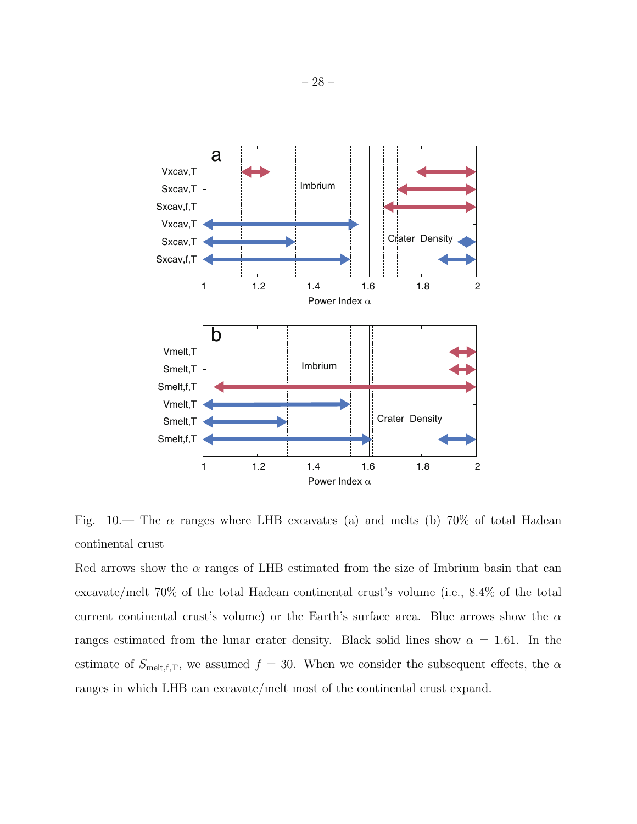

<span id="page-27-0"></span>Fig. 10.— The  $\alpha$  ranges where LHB excavates (a) and melts (b) 70% of total Hadean continental crust

Red arrows show the  $\alpha$  ranges of LHB estimated from the size of Imbrium basin that can excavate/melt 70% of the total Hadean continental crust's volume (i.e., 8.4% of the total current continental crust's volume) or the Earth's surface area. Blue arrows show the  $\alpha$ ranges estimated from the lunar crater density. Black solid lines show  $\alpha = 1.61$ . In the estimate of  $S_{\text{melt},f,T}$ , we assumed  $f = 30$ . When we consider the subsequent effects, the  $\alpha$ ranges in which LHB can excavate/melt most of the continental crust expand.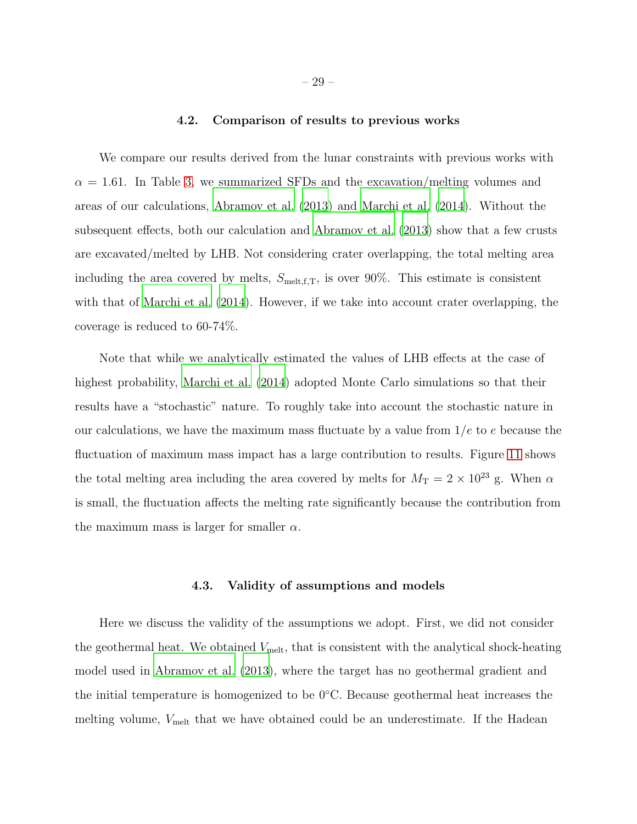## 4.2. Comparison of results to previous works

We compare our results derived from the lunar constraints with previous works with  $\alpha = 1.61$ . In Table [3,](#page-29-0) we summarized SFDs and the excavation/melting volumes and areas of our calculations, [Abramov et al. \(2013](#page-36-2)) and [Marchi et al. \(2014](#page-38-2)). Without the subsequent effects, both our calculation and [Abramov et al. \(2013](#page-36-2)) show that a few crusts are excavated/melted by LHB. Not considering crater overlapping, the total melting area including the area covered by melts,  $S_{\text{melt},f,T}$ , is over 90%. This estimate is consistent with that of [Marchi et al. \(2014\)](#page-38-2). However, if we take into account crater overlapping, the coverage is reduced to 60-74%.

Note that while we analytically estimated the values of LHB effects at the case of highest probability, [Marchi et al. \(2014](#page-38-2)) adopted Monte Carlo simulations so that their results have a "stochastic" nature. To roughly take into account the stochastic nature in our calculations, we have the maximum mass fluctuate by a value from  $1/e$  to e because the fluctuation of maximum mass impact has a large contribution to results. Figure [11](#page-30-0) shows the total melting area including the area covered by melts for  $M_T = 2 \times 10^{23}$  g. When  $\alpha$ is small, the fluctuation affects the melting rate significantly because the contribution from the maximum mass is larger for smaller  $\alpha$ .

#### 4.3. Validity of assumptions and models

<span id="page-28-0"></span>Here we discuss the validity of the assumptions we adopt. First, we did not consider the geothermal heat. We obtained  $V_{\text{melt}}$ , that is consistent with the analytical shock-heating model used in [Abramov et al. \(2013\)](#page-36-2), where the target has no geothermal gradient and the initial temperature is homogenized to be  $0^{\circ}$ C. Because geothermal heat increases the melting volume,  $V_{\text{melt}}$  that we have obtained could be an underestimate. If the Hadean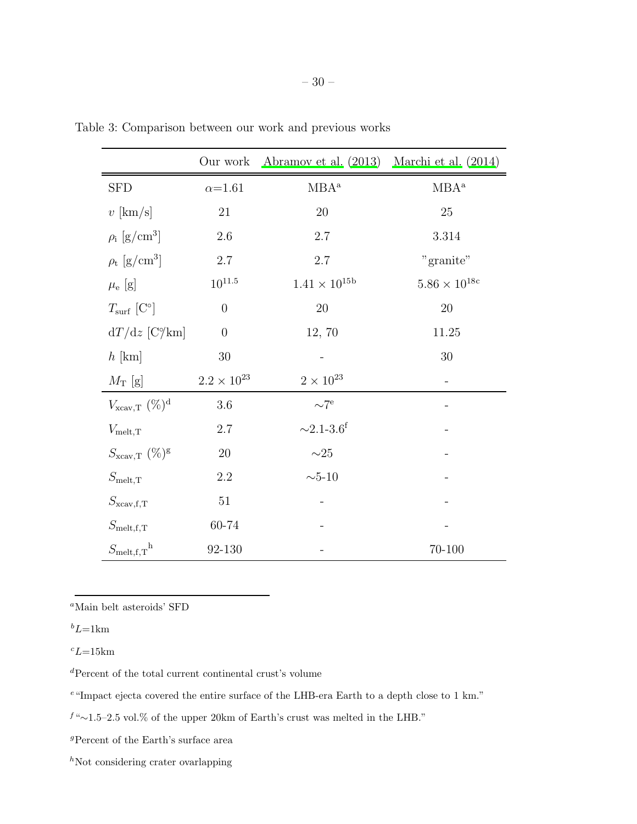<span id="page-29-0"></span>

|                                      | Our work             | Abramov et al. $(2013)$             | Marchi et al. $(2014)$      |
|--------------------------------------|----------------------|-------------------------------------|-----------------------------|
| <b>SFD</b>                           | $\alpha = 1.61$      | $MBA^a$                             | $MBA^a$                     |
| $v$ [km/s]                           | 21                   | 20                                  | 25                          |
| $\rho_i$ [g/cm <sup>3</sup> ]        | $2.6\,$              | $2.7\,$                             | $3.314\,$                   |
| $\rho_{\rm t}$ [g/cm <sup>3</sup> ]  | $2.7\,$              | 2.7                                 | "granite"                   |
| $\mu_{\rm e}$ [g]                    | $10^{11.5}$          | $1.41 \times 10^{15b}$              | $5.86\times10^{18\text{c}}$ |
| $T_{\rm surf}$ [C°]                  | $\theta$             | $20\,$                              | 20                          |
| $dT/dz$ [C $\%$ km]                  | $\overline{0}$       | 12, 70                              | 11.25                       |
| $h$ [km]                             | $30\,$               |                                     | $30\,$                      |
| $M_T$ [g]                            | $2.2 \times 10^{23}$ | $2\times10^{23}$                    |                             |
| $V_{\text{xcav,T}}$ (%) <sup>d</sup> | 3.6                  | $\sim7^{\circ}$                     |                             |
| $V_{\text{melt},T}$                  | 2.7                  | ${\sim}2.1\text{-}3.6^{\mathrm{f}}$ |                             |
| $S_{\text{xcav,T}}$ (%) <sup>g</sup> | $20\,$               | ${\sim}25$                          |                             |
| $S_{\rm melt,T}$                     | 2.2                  | $\sim\!\!5\text{-}10$               |                             |
| $S_{\text{xcav,f,T}}$                | $51\,$               |                                     |                             |
| $S_{\text{melt,f,T}}$                | 60-74                |                                     |                             |
| $S_{\text{melt,f,T}}^{\text{h}}$     | 92-130               |                                     | 70-100                      |

Table 3: Comparison between our work and previous works

 ${}^a{\rm Main}$  belt asteroids' SFD

 ${}^b L {=} 1 {\rm km}$ 

 $c_{L=15km}$ 

 ${}^d\mathrm{Percent}$  of the total current continental crust's volume

<sup>e</sup>"Impact ejecta covered the entire surface of the LHB-era Earth to a depth close to 1 km."

<sup>f</sup> "∼1.5–2.5 vol.% of the upper 20km of Earth's crust was melted in the LHB."

 ${}^g\rm{Percent}$  of the Earth's surface area

 $h$ Not considering crater ovarlapping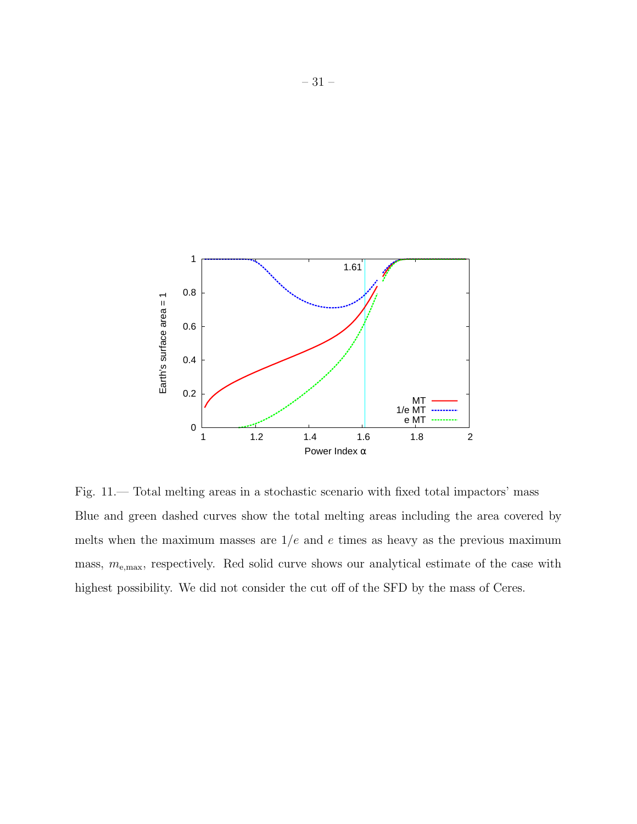

<span id="page-30-0"></span>Fig. 11.— Total melting areas in a stochastic scenario with fixed total impactors' mass Blue and green dashed curves show the total melting areas including the area covered by melts when the maximum masses are  $1/e$  and e times as heavy as the previous maximum mass,  $m_{\text{e,max}}$ , respectively. Red solid curve shows our analytical estimate of the case with highest possibility. We did not consider the cut off of the SFD by the mass of Ceres.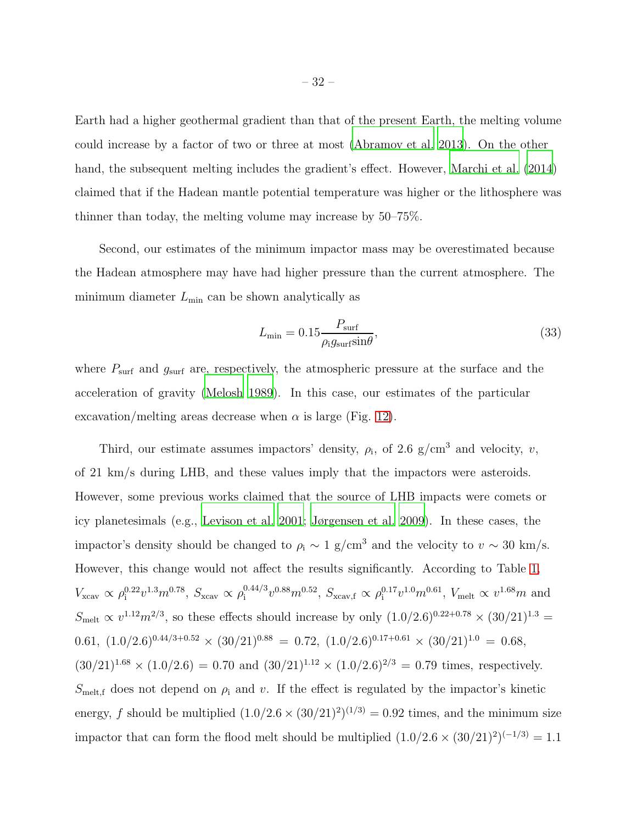Earth had a higher geothermal gradient than that of the present Earth, the melting volume could increase by a factor of two or three at most [\(Abramov et al. 2013](#page-36-2)). On the other hand, the subsequent melting includes the gradient's effect. However, [Marchi et al. \(2014](#page-38-2)) claimed that if the Hadean mantle potential temperature was higher or the lithosphere was thinner than today, the melting volume may increase by 50–75%.

Second, our estimates of the minimum impactor mass may be overestimated because the Hadean atmosphere may have had higher pressure than the current atmosphere. The minimum diameter  $L_{\text{min}}$  can be shown analytically as

$$
L_{\min} = 0.15 \frac{P_{\text{surf}}}{\rho_{\text{i}} g_{\text{surf}} \sin \theta},\tag{33}
$$

where  $P_{\text{surf}}$  and  $g_{\text{surf}}$  are, respectively, the atmospheric pressure at the surface and the acceleration of gravity [\(Melosh 1989\)](#page-38-7). In this case, our estimates of the particular excavation/melting areas decrease when  $\alpha$  is large (Fig. [12\)](#page-32-0).

Third, our estimate assumes impactors' density,  $\rho_i$ , of 2.6 g/cm<sup>3</sup> and velocity, v, of 21 km/s during LHB, and these values imply that the impactors were asteroids. However, some previous works claimed that the source of LHB impacts were comets or icy planetesimals (e.g., [Levison et al. 2001;](#page-38-4) [Jørgensen et al. 2009\)](#page-37-8). In these cases, the impactor's density should be changed to  $\rho_i \sim 1$  g/cm<sup>3</sup> and the velocity to  $v \sim 30$  km/s. However, this change would not affect the results significantly. According to Table [1,](#page-12-0)  $V_{\text{xcav}} \propto \rho_{\text{i}}^{0.22} v^{1.3} m^{0.78}, S_{\text{xcav}} \propto \rho_{\text{i}}^{0.44/3}$  $v^{0.44/3}v^{0.88}m^{0.52}$ ,  $S_{\text{xcav,f}} \propto \rho_{\text{i}}^{0.17}v^{1.0}m^{0.61}$ ,  $V_{\text{melt}} \propto v^{1.68}m$  and  $S_{\text{melt}} \propto v^{1.12} m^{2/3}$ , so these effects should increase by only  $(1.0/2.6)^{0.22+0.78} \times (30/21)^{1.3}$ 0.61,  $(1.0/2.6)^{0.44/3+0.52} \times (30/21)^{0.88} = 0.72, (1.0/2.6)^{0.17+0.61} \times (30/21)^{1.0} = 0.68$  $(30/21)^{1.68} \times (1.0/2.6) = 0.70$  and  $(30/21)^{1.12} \times (1.0/2.6)^{2/3} = 0.79$  times, respectively.  $S_{\text{melt,f}}$  does not depend on  $\rho_i$  and v. If the effect is regulated by the impactor's kinetic energy, f should be multiplied  $(1.0/2.6 \times (30/21)^2)^{(1/3)} = 0.92$  times, and the minimum size impactor that can form the flood melt should be multiplied  $(1.0/2.6 \times (30/21)^2)^{(-1/3)} = 1.1$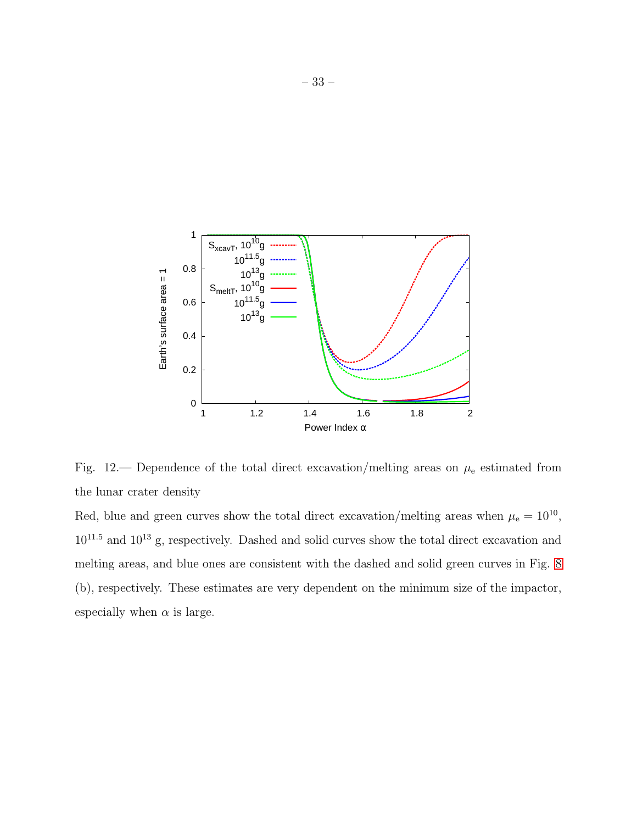

<span id="page-32-0"></span>Fig. 12.— Dependence of the total direct excavation/melting areas on  $\mu_e$  estimated from the lunar crater density

Red, blue and green curves show the total direct excavation/melting areas when  $\mu_e = 10^{10}$ ,  $10^{11.5}$  and  $10^{13}$  g, respectively. Dashed and solid curves show the total direct excavation and melting areas, and blue ones are consistent with the dashed and solid green curves in Fig. [8](#page-24-0) (b), respectively. These estimates are very dependent on the minimum size of the impactor, especially when  $\alpha$  is large.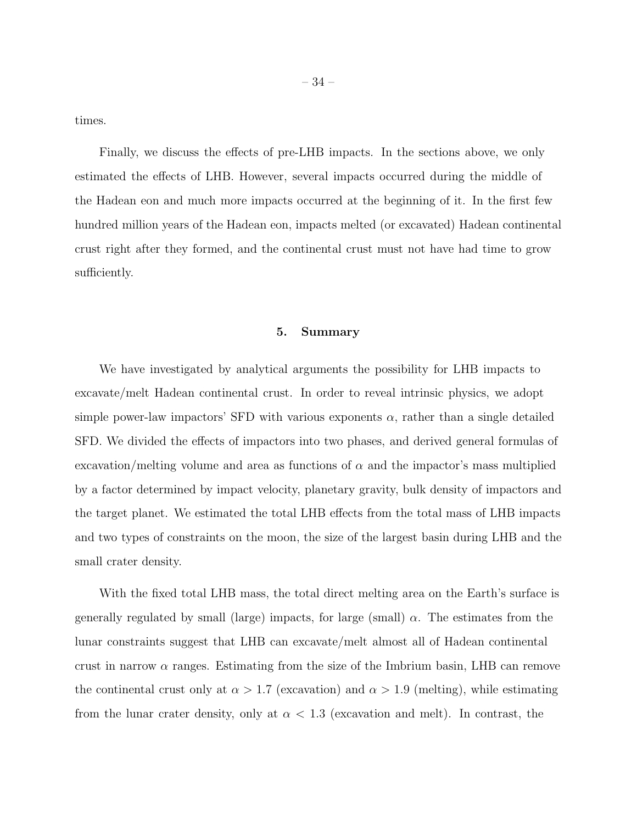times.

Finally, we discuss the effects of pre-LHB impacts. In the sections above, we only estimated the effects of LHB. However, several impacts occurred during the middle of the Hadean eon and much more impacts occurred at the beginning of it. In the first few hundred million years of the Hadean eon, impacts melted (or excavated) Hadean continental crust right after they formed, and the continental crust must not have had time to grow sufficiently.

#### 5. Summary

We have investigated by analytical arguments the possibility for LHB impacts to excavate/melt Hadean continental crust. In order to reveal intrinsic physics, we adopt simple power-law impactors' SFD with various exponents  $\alpha$ , rather than a single detailed SFD. We divided the effects of impactors into two phases, and derived general formulas of excavation/melting volume and area as functions of  $\alpha$  and the impactor's mass multiplied by a factor determined by impact velocity, planetary gravity, bulk density of impactors and the target planet. We estimated the total LHB effects from the total mass of LHB impacts and two types of constraints on the moon, the size of the largest basin during LHB and the small crater density.

With the fixed total LHB mass, the total direct melting area on the Earth's surface is generally regulated by small (large) impacts, for large (small)  $\alpha$ . The estimates from the lunar constraints suggest that LHB can excavate/melt almost all of Hadean continental crust in narrow  $\alpha$  ranges. Estimating from the size of the Imbrium basin, LHB can remove the continental crust only at  $\alpha > 1.7$  (excavation) and  $\alpha > 1.9$  (melting), while estimating from the lunar crater density, only at  $\alpha < 1.3$  (excavation and melt). In contrast, the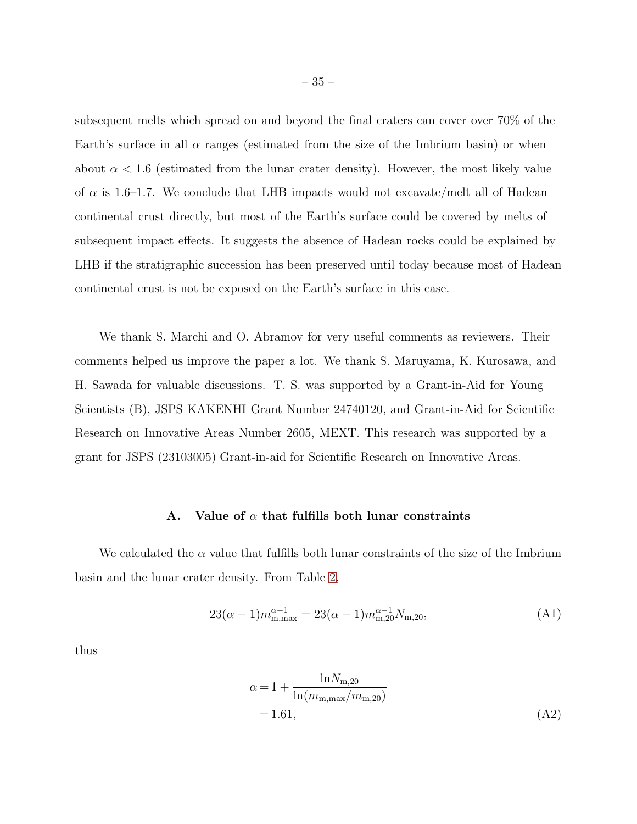subsequent melts which spread on and beyond the final craters can cover over 70% of the Earth's surface in all  $\alpha$  ranges (estimated from the size of the Imbrium basin) or when about  $\alpha < 1.6$  (estimated from the lunar crater density). However, the most likely value of  $\alpha$  is 1.6–1.7. We conclude that LHB impacts would not excavate/melt all of Hadean continental crust directly, but most of the Earth's surface could be covered by melts of subsequent impact effects. It suggests the absence of Hadean rocks could be explained by LHB if the stratigraphic succession has been preserved until today because most of Hadean continental crust is not be exposed on the Earth's surface in this case.

We thank S. Marchi and O. Abramov for very useful comments as reviewers. Their comments helped us improve the paper a lot. We thank S. Maruyama, K. Kurosawa, and H. Sawada for valuable discussions. T. S. was supported by a Grant-in-Aid for Young Scientists (B), JSPS KAKENHI Grant Number 24740120, and Grant-in-Aid for Scientific Research on Innovative Areas Number 2605, MEXT. This research was supported by a grant for JSPS (23103005) Grant-in-aid for Scientific Research on Innovative Areas.

## A. Value of  $\alpha$  that fulfills both lunar constraints

<span id="page-34-0"></span>We calculated the  $\alpha$  value that fulfills both lunar constraints of the size of the Imbrium basin and the lunar crater density. From Table [2,](#page-21-0)

$$
23(\alpha - 1)m_{m,\max}^{\alpha - 1} = 23(\alpha - 1)m_{m,20}^{\alpha - 1}N_{m,20},\tag{A1}
$$

thus

$$
\alpha = 1 + \frac{\ln N_{\text{m},20}}{\ln (m_{\text{m},\text{max}}/m_{\text{m},20})}
$$
  
= 1.61, (A2)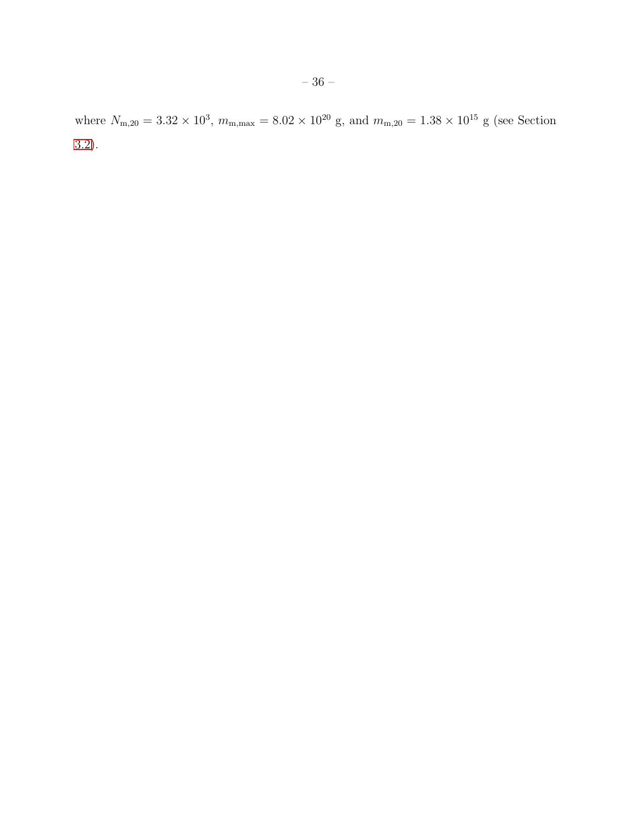where  $N_{\text{m},20} = 3.32 \times 10^3$ ,  $m_{\text{m,max}} = 8.02 \times 10^{20}$  g, and  $m_{\text{m},20} = 1.38 \times 10^{15}$  g (see Section [3.2\)](#page-19-0).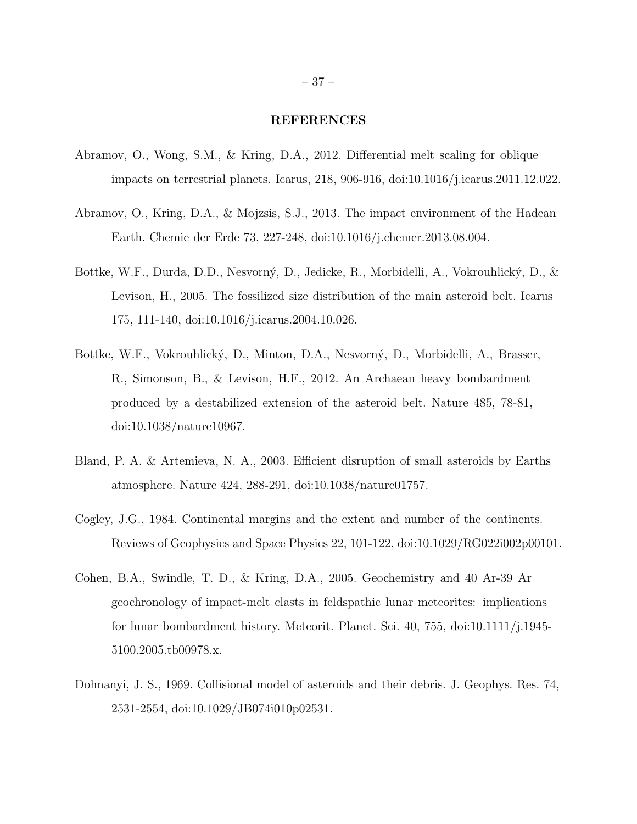# REFERENCES

- <span id="page-36-5"></span>Abramov, O., Wong, S.M., & Kring, D.A., 2012. Differential melt scaling for oblique impacts on terrestrial planets. Icarus, 218, 906-916, doi:10.1016/j.icarus.2011.12.022.
- <span id="page-36-2"></span>Abramov, O., Kring, D.A., & Mojzsis, S.J., 2013. The impact environment of the Hadean Earth. Chemie der Erde 73, 227-248, doi:10.1016/j.chemer.2013.08.004.
- <span id="page-36-3"></span>Bottke, W.F., Durda, D.D., Nesvorný, D., Jedicke, R., Morbidelli, A., Vokrouhlický, D., & Levison, H., 2005. The fossilized size distribution of the main asteroid belt. Icarus 175, 111-140, doi:10.1016/j.icarus.2004.10.026.
- <span id="page-36-1"></span>Bottke, W.F., Vokrouhlický, D., Minton, D.A., Nesvorný, D., Morbidelli, A., Brasser, R., Simonson, B., & Levison, H.F., 2012. An Archaean heavy bombardment produced by a destabilized extension of the asteroid belt. Nature 485, 78-81, doi:10.1038/nature10967.
- <span id="page-36-6"></span>Bland, P. A. & Artemieva, N. A., 2003. Efficient disruption of small asteroids by Earths atmosphere. Nature 424, 288-291, doi:10.1038/nature01757.
- <span id="page-36-7"></span>Cogley, J.G., 1984. Continental margins and the extent and number of the continents. Reviews of Geophysics and Space Physics 22, 101-122, doi:10.1029/RG022i002p00101.
- <span id="page-36-0"></span>Cohen, B.A., Swindle, T. D., & Kring, D.A., 2005. Geochemistry and 40 Ar-39 Ar geochronology of impact-melt clasts in feldspathic lunar meteorites: implications for lunar bombardment history. Meteorit. Planet. Sci. 40, 755, doi:10.1111/j.1945- 5100.2005.tb00978.x.
- <span id="page-36-4"></span>Dohnanyi, J. S., 1969. Collisional model of asteroids and their debris. J. Geophys. Res. 74, 2531-2554, doi:10.1029/JB074i010p02531.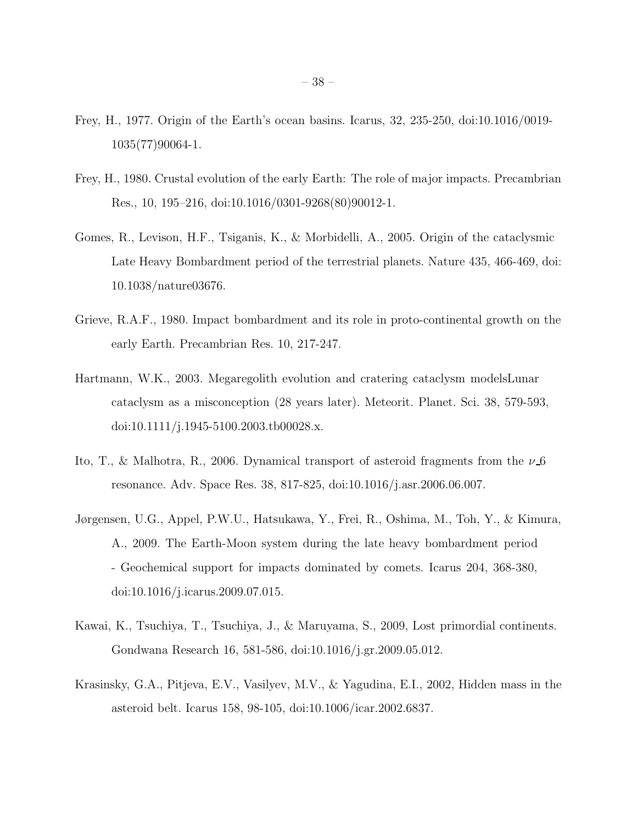- <span id="page-37-3"></span>Frey, H., 1977. Origin of the Earth's ocean basins. Icarus, 32, 235-250, doi:10.1016/0019- 1035(77)90064-1.
- <span id="page-37-4"></span>Frey, H., 1980. Crustal evolution of the early Earth: The role of major impacts. Precambrian Res., 10, 195–216, doi:10.1016/0301-9268(80)90012-1.
- <span id="page-37-2"></span>Gomes, R., Levison, H.F., Tsiganis, K., & Morbidelli, A., 2005. Origin of the cataclysmic Late Heavy Bombardment period of the terrestrial planets. Nature 435, 466-469, doi: 10.1038/nature03676.
- <span id="page-37-5"></span>Grieve, R.A.F., 1980. Impact bombardment and its role in proto-continental growth on the early Earth. Precambrian Res. 10, 217-247.
- <span id="page-37-1"></span>Hartmann, W.K., 2003. Megaregolith evolution and cratering cataclysm modelsLunar cataclysm as a misconception (28 years later). Meteorit. Planet. Sci. 38, 579-593, doi:10.1111/j.1945-5100.2003.tb00028.x.
- <span id="page-37-7"></span>Ito, T., & Malhotra, R., 2006. Dynamical transport of asteroid fragments from the  $\nu$ -6 resonance. Adv. Space Res. 38, 817-825, doi:10.1016/j.asr.2006.06.007.
- <span id="page-37-8"></span>Jørgensen, U.G., Appel, P.W.U., Hatsukawa, Y., Frei, R., Oshima, M., Toh, Y., & Kimura, A., 2009. The Earth-Moon system during the late heavy bombardment period - Geochemical support for impacts dominated by comets. Icarus 204, 368-380, doi:10.1016/j.icarus.2009.07.015.
- <span id="page-37-0"></span>Kawai, K., Tsuchiya, T., Tsuchiya, J., & Maruyama, S., 2009, Lost primordial continents. Gondwana Research 16, 581-586, doi:10.1016/j.gr.2009.05.012.
- <span id="page-37-6"></span>Krasinsky, G.A., Pitjeva, E.V., Vasilyev, M.V., & Yagudina, E.I., 2002, Hidden mass in the asteroid belt. Icarus 158, 98-105, doi:10.1006/icar.2002.6837.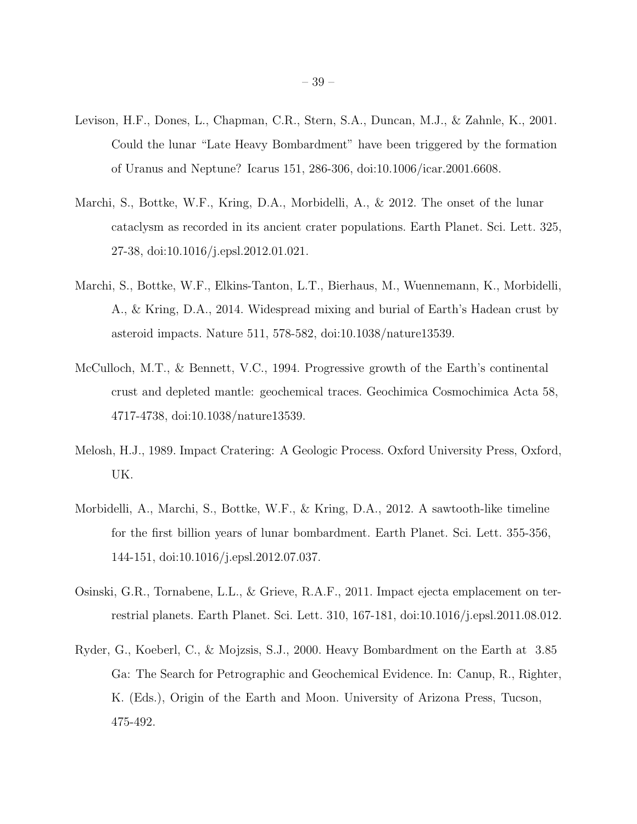- <span id="page-38-4"></span>Levison, H.F., Dones, L., Chapman, C.R., Stern, S.A., Duncan, M.J., & Zahnle, K., 2001. Could the lunar "Late Heavy Bombardment" have been triggered by the formation of Uranus and Neptune? Icarus 151, 286-306, doi:10.1006/icar.2001.6608.
- <span id="page-38-6"></span>Marchi, S., Bottke, W.F., Kring, D.A., Morbidelli, A., & 2012. The onset of the lunar cataclysm as recorded in its ancient crater populations. Earth Planet. Sci. Lett. 325, 27-38, doi:10.1016/j.epsl.2012.01.021.
- <span id="page-38-2"></span>Marchi, S., Bottke, W.F., Elkins-Tanton, L.T., Bierhaus, M., Wuennemann, K., Morbidelli, A., & Kring, D.A., 2014. Widespread mixing and burial of Earth's Hadean crust by asteroid impacts. Nature 511, 578-582, doi:10.1038/nature13539.
- <span id="page-38-5"></span>McCulloch, M.T., & Bennett, V.C., 1994. Progressive growth of the Earth's continental crust and depleted mantle: geochemical traces. Geochimica Cosmochimica Acta 58, 4717-4738, doi:10.1038/nature13539.
- <span id="page-38-7"></span>Melosh, H.J., 1989. Impact Cratering: A Geologic Process. Oxford University Press, Oxford, UK.
- <span id="page-38-0"></span>Morbidelli, A., Marchi, S., Bottke, W.F., & Kring, D.A., 2012. A sawtooth-like timeline for the first billion years of lunar bombardment. Earth Planet. Sci. Lett. 355-356, 144-151, doi:10.1016/j.epsl.2012.07.037.
- <span id="page-38-3"></span>Osinski, G.R., Tornabene, L.L., & Grieve, R.A.F., 2011. Impact ejecta emplacement on terrestrial planets. Earth Planet. Sci. Lett. 310, 167-181, doi:10.1016/j.epsl.2011.08.012.
- <span id="page-38-1"></span>Ryder, G., Koeberl, C., & Mojzsis, S.J., 2000. Heavy Bombardment on the Earth at 3.85 Ga: The Search for Petrographic and Geochemical Evidence. In: Canup, R., Righter, K. (Eds.), Origin of the Earth and Moon. University of Arizona Press, Tucson, 475-492.